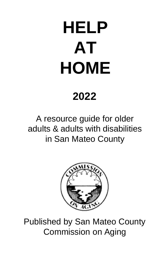# **HELP AT HOME**

# **2022**

A resource guide for older adults & adults with disabilities in San Mateo County



Published by San Mateo County Commission on Aging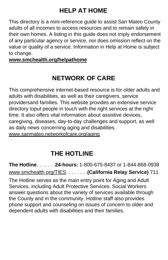# **HELP AT HOME**

This directory is a mini-reference guide to assist San Mateo County adults of all incomes to access resources and to remain safely in their own homes. A listing in this guide does not imply endorsement of any particular agency or service, nor does omission reflect on the value or quality of a service. Information in Help at Home is subject to change.

**[www.smchealth.org/helpathome](http://www.smchealth.org/helpathome)**

# **NETWORK OF CARE**

This comprehensive internet-based resource is for older adults and adults with disabilities, as well as their caregivers, service providersand families. This website provides an extensive service directory toput people in touch with the right services at the right time. It also offers vital information about assistive devices, caregiving, diseases, day-to-day challenges and support, as well as daily news concerning aging and disabilities. [www.sanmateo.networkofcare.org/aging](http://www.sanmateo.networkofcare.org/aging)

# **THE HOTLINE**

**The Hotline**. . . . . . .**24-hours:** 1-800-675-8437 or 1-844-868-0938 [www.smchealth.org/TIES.](http://www.smchealth.org/TIES) . . . . . . .**(California Relay Service)** 711 The Hotline serves as the main entry point for Aging and Adult Services, including Adult Protective Services. Social Workers answer questions about the variety of services available through the County and in the community. Hotline staff also provides phone support and counseling on issues of concern to older and dependent adults with disabilities and their families.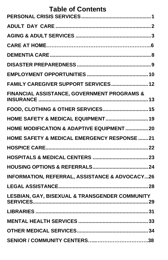| <b>Table of Contents</b>                                  |  |
|-----------------------------------------------------------|--|
|                                                           |  |
|                                                           |  |
|                                                           |  |
|                                                           |  |
|                                                           |  |
|                                                           |  |
| FAMILY CAREGIVER SUPPORT SERVICES 12                      |  |
| FINANCIAL ASSISTANCE, GOVERNMENT PROGRAMS &               |  |
| FOOD, CLOTHING & OTHER SERVICES 15                        |  |
| <b>HOME SAFETY &amp; MEDICAL EQUIPMENT 19</b>             |  |
| HOME MODIFICATION & ADAPTIVE EQUIPMENT 20                 |  |
| <b>HOME SAFETY &amp; MEDICAL EMERGENCY RESPONSE 21</b>    |  |
|                                                           |  |
|                                                           |  |
|                                                           |  |
| <b>INFORMATION, REFERRAL, ASSISTANCE &amp; ADVOCACY26</b> |  |
|                                                           |  |
| LESBIAN, GAY, BISEXUAL & TRANSGENDER COMMUNITY            |  |
|                                                           |  |
|                                                           |  |
|                                                           |  |
|                                                           |  |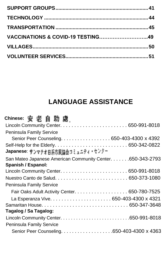| <b>VACCINATIONS &amp; COVID-19 TESTING49</b> |  |
|----------------------------------------------|--|
|                                              |  |
|                                              |  |

# **LANGUAGE ASSISTANCE**

| Chinese: 安老自助處                                             |  |
|------------------------------------------------------------|--|
|                                                            |  |
| <b>Peninsula Family Service</b>                            |  |
| Senior Peer Counseling. 650-403-4300 x 4392                |  |
|                                                            |  |
| Japanese: サンマテオ日系市民協会コミュニティ・センター                           |  |
| San Mateo Japanese American Community Center. 650-343-2793 |  |
| Spanish / Espanol:                                         |  |
|                                                            |  |
|                                                            |  |
| <b>Peninsula Family Service</b>                            |  |
| Fair Oaks Adult Activity Center. 650-780-7525              |  |
|                                                            |  |
|                                                            |  |
| Tagalog / Sa Tagalog:                                      |  |
|                                                            |  |
| <b>Peninsula Family Service</b>                            |  |
|                                                            |  |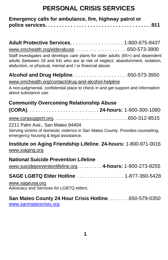# **PERSONAL CRISIS SERVICES**

<span id="page-4-0"></span>

| Emergency calls for ambulance, fire, highway patrol or |  |
|--------------------------------------------------------|--|
|                                                        |  |

**Adult Protective Services**. . . . . . . . . . . . . . . . . . . 1-800-675-8437 [www.smchealth.org/elderabuse.](http://www.smchealth.org/elderabuse) . . . . . . . . . . . . . . . . . . . .650-573-3900 Staff investigates and develops care plans for older adults (65+) and dependent adults (between 18 and 64) who are at risk of neglect, abandonment, isolation, abduction, or physical, mental and / or financial abuse.

**Alcohol and Drug Helpline**. . . . . . . . . . . . . . . . . . . .650-573-3950 [www.smchealth.org/contact/drug-and-alcohol-helpline](http://www.smchealth.org/contact/drug-and-alcohol-helpline)

A non-judgmental, confidential place to check in and get support and information about substance use.

### **Community Overcoming Relationship Abuse**

#### 2211 Palm Ave., San Mateo 94404

Serving victims of domestic violence in San Mateo County. Provides counseling, emergency housing & legal assistance.

#### **Institute on Aging Friendship Lifeline**. **24-hours:** 1-800-971-0016 [www.ioaging.org](http://www.ioaging.org/)

### **National Suicide Prevention Lifeline**

[www.suicidepreventionlifeline.org](http://www.suicidepreventionlifeline.org/)[.](http://www.suicidepreventionlifeline.org/) . . . . . . . . . **4-hours:** 1-800-273-8255

**SAGE LGBTQ Elder Hotline** . . . . . . . . . . . . . . . . . 1-877-360-5428

#### [www.sageusa.org](http://www.sageusa.org/)

Advocacy and Services for LGBTQ elders.

#### **San Mateo County 24 Hour Crisis Hotline**. . . . . . . .650-579-0350 [www.sanmateocrisis.org](http://www.sanmateocrisis.org/)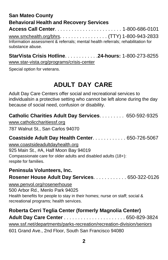### **San Mateo County Behavioral Health and Recovery Services Access Call Center**. . . . . . . . . . . . . . . . . . . . . . . . 1-800-686-0101 [www.smchealth.org/bhrs](http://www.smchealth.org/bhrs). . . . . . . . . . . . . . . . . (TTY) 1-800-943-2833 Information assessment & referrals; mental health referrals; rehabilitation for substance abuse.

**StarVista Crisis Hotline**. . . . . . . . . . . .**24-hours:** 1-800-273-8255 [www.star-vista.org/programs/crisis-center](http://www.star-vista.org/programs/crisis-center)

Special option for veterans.

# **ADULT DAY CARE**

<span id="page-5-0"></span>Adult Day Care Centers offer social and recreational services to individualsin a protective setting who cannot be left alone during the day because of social need, confusion or disability.

**Catholic Charities Adult Day Services**. . . . . . . . . 650-592-9325

[www.catholiccharitiessf.org](http://www.catholiccharitiessf.org/) 787 Walnut St., San Carlos 94070

### **Coastside Adult Day Health Center**. . . . . . . . . . . . 650-726-5067

[www.coastsideadultdayhealth.org](http://www.coastsideadultdayhealth.org/) 925 Main St., #A, Half Moon Bay 94019 Compassionate care for older adults and disabled adults (18+): respite for families.

#### **Peninsula Volunteers, Inc.**

#### **Rosener House Adult Day Services**. . . . . . . . . . . . 650-322-0126

[www.penvol.org/rosenerhouse](http://www.penvol.org/rosenerhouse)

500 Arbor Rd., Menlo Park 94025 Health benefits for people to stay in their homes; nurse on staff; social & recreational programs; health services.

### **Roberta Cerri Teglia Center (formerly Magnolia Center)**

**Adult Day Care Center** . . . . . . . . . . . . . . . . . . . . . . 650-829-3824 [www.ssf.net/departments/parks-recreation/recreation-division](http://www.ssf.net/departments/parks-recreation/recreation-division/seniors)*/*seniors 601 Grand Ave., 2nd Floor, South San Francisco 94080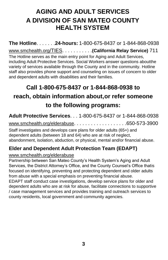# <span id="page-6-0"></span>**AGING AND ADULT SERVICES A DIVISION OF SAN MATEO COUNTY HEALTH SYSTEM**

**The Hotline**. . . . . . .**24-hours:** 1-800-675-8437 or 1-844-868-0938 [www.smchealth.org](http://www.smchealth.org/TIES)[/TIES.](http://www.smchealth.org/TIES) . . . . . . . . . .**(California Relay Service)** 711 The Hotline serves as the main entry point for Aging and Adult Services, including Adult Protective Services. Social Workers answer questions aboutthe variety of services available through the County and in the community. Hotline staff also provides phone support and counseling on issues of concern to older and dependent adults with disabilities and their families.

# **Call 1-800-675-8437 or 1-844-868-0938 to reach, obtain information about,or refer someone to the following programs:**

**Adult Protective Services**. . . 1-800-675-8437 or 1-844-868-0938 [www.smchealth.org/elderabuse](http://www.smchealth.org/elderabuse). . . . . . . . . . . . . . . . . . .650-573-3900

Staff investigates and develops care plans for older adults (65+) and dependent adults (between 18 and 64) who are at risk of neglect, abandonment, isolation, abduction, or physical, mental and/or financial abuse.

### **Elder and Dependent Adult Protection Team (EDAPT)**

#### [www.smchealth.org/elderabuse](http://www.smchealth.org/elderabuse)

Partnership between San Mateo County's Health System's Aging and Adult Services, the District Attorney's Office, and the County Counsel's Office thatis focused on identifying, preventing and protecting dependent and older adults from abuse with a special emphasis on preventing financial abuse.

EDAPT staff conduct case investigations, develop service plans for older and dependent adults who are at risk for abuse, facilitate connections to supportive / case management services and provides training and outreach services to county residents, local government and community agencies.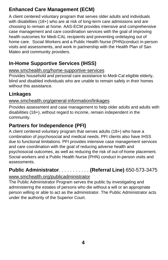### **Enhanced Care Management (ECM)**

A client centered voluntary program that serves older adults and individuals with disabilities (18+) who are at risk of long-term care admissions and are choosing to remain at home. AAS-ECM provides intensive and comprehensive case management and care coordination services with the goal of improving health outcomes for Medi-CAL recipients and preventing ordelaying out of home care. Social Workers and a Public Health Nurse (PHN)conduct in-person visits and assessments, and work in partnership with the Health Plan of San Mateo and community providers.

### **In-Home Supportive Services (IHSS)**

#### [www.smchealth.org/home-supportive-services](http://www.smchealth.org/home-supportive-services)

Provides household and personal care assistance to Medi-Cal eligible elderly, blind and disabled individuals who are unable to remain safely in their homes without this assistance.

### **Linkages**

#### [www.smchealth.org/general-information/linkages](http://www.smchealth.org/general-information/linkages)

Provides assessment and case management to help older adults and adults with disabilities (18+), without regard to income, remain independent in the community.

### **Partners for Independence (PFI)**

A client centered voluntary program that serves adults (18+) who have a combination of psychosocial and medical needs. PFI clients also have IHSS due to functional limitations. PFI provides intensive case management services and care coordination with the goal of reducing adverse health and psychosocial outcomes, as well as reducing the risk of out-of-home placement. Social workers and a Public Health Nurse (PHN) conduct in-person visits and assessments.

# **Public Administrator**. . . . . . . . . . . **(Referral Line)** 650-573-3475

#### [www.smchealth.org/publicadministrator](http://www.smchealth.org/publicadministrator)

The Public Administrator Program serves the public by investigating and administering the estates of persons who die without a will or an appropriate person willing or able to act as the administrator. The Public Administrator acts under the authority of the Superior Court.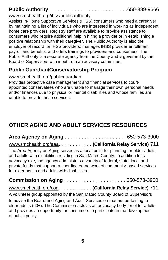# **Public Authority** . . . . . . . . . . . . . . . . . . . . . . . . . . . .650-389-9666

#### [www.smchealth.org/ihss/publicauthority](http://www.smchealth.org/ihss/publicauthority)

Assists In-Home Supportive Services (IHSS) consumers who need a caregiver by maintaining a list of individuals who are interested in working as independent home care providers. Registry staff are available to provide assistance to consumers who require additional help in hiring a provider or in establishing a positive relationship with their caregiver. The Public Authority is also the employer of record for IHSS providers; manages IHSS provider enrollment, payroll and benefits; and offers trainings to providers and consumers. The Public Authority is a separate agency from the County and is governed by the Board of Supervisors with input from an advisory committee.

### **Public Guardian/Conservatorship Program**

#### [www.smchealth.org/publicguardian](http://www.smchealth.org/publicguardian)

Provides protective case management and financial services to courtappointed conservatees who are unable to manage their own personal needs and/or finances due to physical or mental disabilities and whose families are unable to provide these services.

# **OTHER AGING AND ADULT SERVICES RESOURCES**

**Area Agency on Aging** . . . . . . . . . . . . . . . . . . . . . . 650-573-3900 [www.smchealth.org/aaa](http://www.smchealth.org/aaa). . . . . . . . . . . . **(California Relay Service)** 711 The Area Agency on Aging serves as a focal point for planning for older adults and adults with disabilities residing in San Mateo County. In addition toits advocacy role, the agency administers a variety of federal, state, local and private funds that support a coordinated network of community-based services for older adults and adults with disabilities.

### **Commission on Aging** . . . . . . . . . . . . . . . . . . . . . . 650-573-3900

### [www.smchealth.org/coa](http://www.smchealth.org/coa). . . . . . . . . . . . **(California Relay Service)** 711

A volunteer group appointed by the San Mateo County Board of Supervisors

to advise the Board and Aging and Adult Services on matters pertaining to older adults (60+). The Commission acts as an advocacy body for older adults and provides an opportunity for consumers to participate in the development of public policy.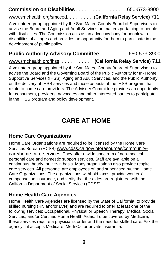|  | <b>Commission on Disabilities</b> 650-573-3900 |
|--|------------------------------------------------|
|--|------------------------------------------------|

[www.smchealth.org/smccod](http://www.smchealth.org/smccod). . . . . . . . . .(**California Relay Service)** 711

A volunteer group appointed by the San Mateo County Board of Supervisors to advise the Board and Aging and Adult Services on matters pertaining to people with disabilities. The Commission acts as an advocacy body for peoplewith disabilities of all ages and provides an opportunity for them to participate in the development of public policy.

#### **Public Authority Advisory Committee**. . . . . . . . . . .650-573-3900

[www.smchealth.org/ihss](http://www.smchealth.org/ihss). . . . . . . . . . . . **(California Relay Service)** 711

A volunteer group appointed by the San Mateo County Board of Supervisors to advise the Board and the Governing Board of the Public Authority for In- Home Supportive Services (IHSS), Aging and Adult Services, and the Public Authority on the delivery of IHSS services and those aspects of the IHSS program that relate to home care providers. The Advisory Committee provides an opportunity for consumers, providers, advocates and other interested parties to participate in the IHSS program and policy development.

# **CARE AT HOME**

#### **Home Care Organizations**

Home Care Organizations are required to be licensed by the Home Care Services Bureau (HCSB) [www.cdss.ca.gov/inforesources/community](http://www.cdss.ca.gov/inforesources/community-)care/home-care-services. They offer a wide spectrum of non-medical personal care and domestic support services. Staff are available on a continuous, hourly, or live-in basis. Many organizations also provide respite care services. All personnel are employees of, and supervised by, the Home Care Organizations. The organizations withhold taxes, provide workers' compensation insurance, and verify that the aides are registered with the California Department of Social Services (CDSS).

### **Home Health Care Agencies**

Home Health Care Agencies are licensed by the State of California to provide skilled nursing (RN and/or LVN) and are required to offer at least one of the following services: Occupational, Physical or Speech Therapy; Medical Social Services; and/or Certified Home Health Aides. To be covered by Medicare, these services require a physician's order and the need for skilled care. Ask the agency if it accepts Medicare, Medi-Cal or private insurance.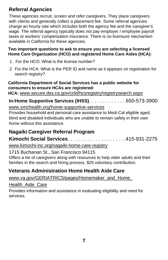### **Referral Agencies**

These agencies recruit, screen and refer caregivers. They place caregivers with clients and generally collect a placement fee. Some referral agencies charge an hourly rate which includes both the agency fee and the caregiver's wage. The referral agency typically does not pay employer / employee payroll taxes or workers' compensation insurance. There is no licensure mechanism available in California for these agencies.

#### **Two important questions to ask to ensure you are selecting a licensed Home Care Organization (HCO) and registered Home Care Aides (HCA):**

- 1. For the HCO: What is the license number?
- 2. For the HCA: What is the PER ID and name as it appears on registration for search registry?

#### **California Department of Social Services has a public website for consumers to ensure HCAs are registered:**

**HCA:** [www.secure.dss.ca.gov/ccld/hcsregistry/registrysearch.aspx](http://www.secure.dss.ca.gov/ccld/hcsregistry/registrysearch.aspx)

**In-Home Supportive Services (IHSS)**. . . . . . . . . . . . . 650-573-3900 [www.smchealth.org/home-supportive-services](http://www.smchealth.org/home-supportive-services)

Provides household and personal care assistance to Medi-Cal eligible aged, blind and disabled individuals who are unable to remain safely in their own home without this assistance.

### **Nagaiki Caregiver Referral Program**

**Kimochi Social Services**. . . . . . . . . . . . . . . . . . . . .415-931-2275

[www.kimochi-inc.org/nagaiki-home-care-registry](http://www.kimochi-inc.org/nagaiki-home-care-registry)

1715 Buchanan St., San Francisco 94115

Offers a list of caregivers along with resources to help older adults and their families in the search and hiring process. \$25 voluntary contribution.

### **Veterans Administration Home Health Aide Care**

#### www.va.gov/GERIATRICS/pages/Homemaker\_and\_Home

Health\_Aide\_Care

Provides information and assistance in evaluating eligibility and need for services.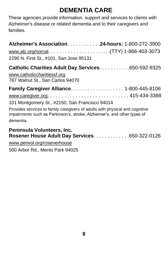# <span id="page-11-0"></span>**DEMENTIA CARE**

These agencies provide information, support and services to clients with Alzheimer's disease or related dementia and to their caregivers and families.

| Alzheimer's Association. 24-hours: 1-800-272-3900                                                                                                                     |  |
|-----------------------------------------------------------------------------------------------------------------------------------------------------------------------|--|
|                                                                                                                                                                       |  |
| 2290 N. First St., #101, San Jose 95131                                                                                                                               |  |
| Catholic Charities Adult Day Services 650-592-9325<br>www.catholiccharitiessf.org<br>787 Walnut St., San Carlos 94070                                                 |  |
| <b>Family Caregiver Alliance1-800-445-8106</b>                                                                                                                        |  |
|                                                                                                                                                                       |  |
| 101 Montgomery St., #2150, San Francisco 94014                                                                                                                        |  |
| Provides services to family caregivers of adults with physical and cognitive<br>impairments such as Parkinson's, stroke, Alzheimer's, and other types of<br>dementia. |  |
|                                                                                                                                                                       |  |

#### **Peninsula Volunteers, Inc. Rosener House Adult Day Services**. . . . . . . . . . . . .650-322-0126

[www.penvol.org/rosenerhouse](http://www.penvol.org/rosenerhouse) 500 Arbor Rd., Menlo Park 94025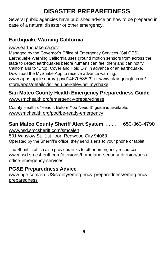# <span id="page-12-0"></span>**DISASTER PREPAREDNESS**

Several public agencies have published advice on how to be prepared in case of a natural disaster or other emergency.

### **Earthquake Warning California**

[www.earthquake.ca.gov](http://www.earthquake.ca.gov/)

Managed by the Governor's Office of Emergency Services (Cal OES), Earthquake Warning California uses ground motion sensors from across the state to detect earthquakes before humans can feel them and can notify Californians to "Drop, Cover and Hold On" in advance of an earthquake. Download the MyShake App to receive advance warning: [www.apps.apple.com/app/id1467058529](http://www.apps.apple.com/app/id1467058529) or [www.play.google.com/](http://www.play.google.com/) store/apps/details?id=edu.berkeley.bsl.myshake

#### **San Mateo County Health Emergency Preparedness Guide** [www.smchealth.org/emergency-preparedness](http://www.smchealth.org/emergency-preparedness)

County Health's "Read it Before You Need It" guide is available: www.smchealth.org/pod/be-ready-emergency

### **San Mateo County Sheriff Alert System**. . . . . . . 650-363-4790

[www.hsd.smcsheriff.com/smcalert](http://www.hsd.smcsheriff.com/smcalert) 501 Winslow St., 1st floor, Redwood City 94063 Operated by the Sherriff's office, they send alerts to your phone or tablet.

The Sheriff's office also provides links to other emergency resources: [www.hsd.smcsheriff.com/divisions/homeland-security-division/a](http://www.hsd.smcsheriff.com/divisions/homeland-security-division/)reaoffice-emergency-services

### **PG&E Preparedness Advice**

www.pge.com/en\_US/safety/emergency-preparedness/emergencypreparedness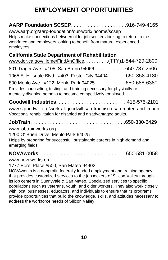# <span id="page-13-0"></span>**EMPLOYMENT OPPORTUNITIES**

### **AARP Foundation SCSEP**. . . . . . . . . . . . . . . . . . . .916-749-4165

[www.aarp.org/aarp-foundation/our-work/income/scsep](http://www.aarp.org/aarp-foundation/our-work/income/scsep) Helps make connections between older job seekers looking to return to the workforce and employers looking to benefit from mature, experienced employees.

### **California State Department of Rehabilitation**

| www.dor.ca.gov/Home/FindAnOffice. (TTY)1-844-729-2800                                                                                                                                         |  |
|-----------------------------------------------------------------------------------------------------------------------------------------------------------------------------------------------|--|
| 801 Trager Ave., #105, San Bruno 94066. 650-737-2606                                                                                                                                          |  |
| 1065 E. Hillsdale Blvd., #403, Foster City 94404. 650-358-4180                                                                                                                                |  |
| 800 Menlo Ave., #122, Menlo Park 94025. 650-688-6380<br>Provides counseling, testing, and training necessary for physically or<br>mentally disabled persons to become competitively employed. |  |
|                                                                                                                                                                                               |  |
| www.sfgoodwill.org/work-at-goodwill-san-francisco-san-mateo-and- marin                                                                                                                        |  |
| Vocational rehabilitation for disabled and disadvantaged adults.                                                                                                                              |  |
|                                                                                                                                                                                               |  |

[www.jobtrainworks.org](http://www.jobtrainworks.org/)

#### 1200 O' Brien Drive, Menlo Park 94025

Helps by preparing for successful, sustainable careers in high-demand and emerging fields.

**NOVAworks**. . . . . . . . . . . . . . . . . . . . . . . . . . . . . . . 650-581-0058

#### [www.novaworks.org](http://www.novaworks.org/)

#### 1777 Borel Place #500, San Mateo 94402

NOVAworks is a nonprofit, federally funded employment and training agency that provides customized services to the jobseekers of Silicon Valley through its job centers in Sunnyvale & San Mateo. Specialized services to specific populations such as veterans, youth, and older workers. They also work closely with local businesses, educators, and individuals to ensure that its programs provide opportunities that build the knowledge, skills, and attitudes necessary to address the workforce needs of Silicon Valley.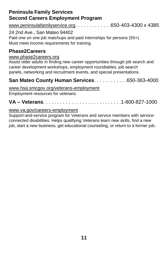### **Peninsula Family Services Second Careers Employment Program**

[www.peninsulafamilyservice.org](http://www.peninsulafamilyservice.org/). . . . . . . . . . . . .650-403-4300 x 4385

24 2nd Ave., San Mateo 94402

Paid one on one job matchups and paid internships for persons (55+). Must meet income requirements for training.

### **Phase2Careers**

#### [www.phase2careers.org](http://www.phase2careers.org/)

Assist older adults in finding new career opportunities through job search and career development workshops, employment roundtables, job search panels, networking and recruitment events, and special presentations.

### **San Mateo County Human Services**. . . . . . . . . . . .650-363-4000

[www.hsa.smcgov.org/veterans-employment](http://www.hsa.smcgov.org/veterans-employment)

Employment resources for veterans.

**VA – Veterans**. . . . . . . . . . . . . . . . . . . . . . . . . . . .1-800-827-1000

#### [www.va.gov/careers-employment](http://www.va.gov/careers-employment)

Support-and-service program for Veterans and service members with serviceconnected disabilities. Helps qualifying Veterans learn new skills, find a new job, start a new business, get educational counseling, or return to a former job.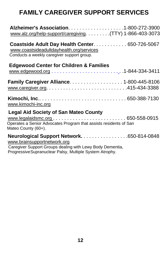# <span id="page-15-0"></span>**FAMILY CAREGIVER SUPPORT SERVICES**

| www.alz.org/help-support/caregiving. (TTY) 1-866-403-3073                                                                                                                                          |
|----------------------------------------------------------------------------------------------------------------------------------------------------------------------------------------------------|
| Coastside Adult Day Health Center 650-726-5067<br>www.coastsideadultdayhealth.org/services<br>Conducts a weekly caregiver support group.                                                           |
| <b>Edgewood Center for Children &amp; Families</b>                                                                                                                                                 |
| <b>Family Caregiver Alliance 1-800-445-8106</b>                                                                                                                                                    |
| www.kimochi-inc.org                                                                                                                                                                                |
| <b>Legal Aid Society of San Mateo County</b><br>Operates a Senior Advocates Program that assists residents of San<br>Mateo County (60+).                                                           |
| Neurological Support Network. 650-814-0848<br>www.brainsupportnetwork.org<br>Caregiver Support Groups dealing with Lewy Body Dementia,<br>Progressive Supranuclear Palsy, Multiple System Atrophy. |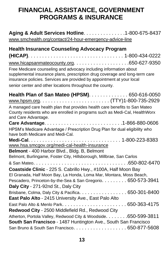# <span id="page-16-0"></span>**FINANCIAL ASSISTANCE, GOVERNMENT PROGRAMS & INSURANCE**

| Aging & Adult Services Hotline. 1-800-675-8437<br>www.smchealth.org/contact/24-hour-emergency-advice-line                                                                                                                                                                              |
|----------------------------------------------------------------------------------------------------------------------------------------------------------------------------------------------------------------------------------------------------------------------------------------|
| <b>Health Insurance Counseling Advocacy Program</b>                                                                                                                                                                                                                                    |
| Free Medicare counseling and advocacy including information about<br>supplemental insurance plans, prescription drug coverage and long-term care<br>insurance policies. Services are provided by appointment at your local<br>senior center and other locations throughout the county. |
| Health Plan of San Mateo (HPSM). 650-616-0050                                                                                                                                                                                                                                          |
| A managed care health plan that provides health care benefits to San Mateo<br>County residents who are enrolled in programs such as Medi-Cal, HealthWorx<br>and Care Advantage.                                                                                                        |
|                                                                                                                                                                                                                                                                                        |
| HPSM's Medicare Advantage / Prescription Drug Plan for dual eligibility who<br>have both Medicare and Medi-Cal.                                                                                                                                                                        |
| www.hsa.smcgov.org/medi-cal-health-insurance                                                                                                                                                                                                                                           |
| Belmont - 400 Harbor Blvd., Bldg. B, Belmont                                                                                                                                                                                                                                           |
| Belmont, Burlingame, Foster City, Hillsborough, Millbrae, San Carlos                                                                                                                                                                                                                   |
|                                                                                                                                                                                                                                                                                        |
| Coastside Clinic - 225 S. Cabrillo Hwy., #100A, Half Moon Bay                                                                                                                                                                                                                          |
| El Granada, Half Moon Bay, La Honda, Loma Mar, Montara, Moss Beach,<br>Pescadero, Princeton-by-the-Sea & San Gregorio. 650-573-3941                                                                                                                                                    |
| Daly City - 271-92nd St., Daly City                                                                                                                                                                                                                                                    |
| Brisbane, Colma, Daly City & Pacifica. 650-301-8400<br>East Palo Alto - 2415 University Ave., East Palo Alto                                                                                                                                                                           |
|                                                                                                                                                                                                                                                                                        |
| Redwood City - 2500 Middlefield Rd., Redwood City                                                                                                                                                                                                                                      |
| Atherton, Portola Valley, Redwood City & Woodside. 650-599-3811                                                                                                                                                                                                                        |
| South San Francisco - 1487 Huntington Ave., South San Francisco                                                                                                                                                                                                                        |
|                                                                                                                                                                                                                                                                                        |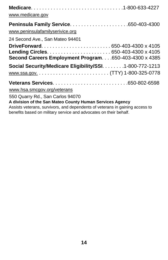| www.medicare.gov                                                                                                                                                             |  |  |
|------------------------------------------------------------------------------------------------------------------------------------------------------------------------------|--|--|
| www.peninsulafamilyserivice.org                                                                                                                                              |  |  |
| 24 Second Ave., San Mateo 94401                                                                                                                                              |  |  |
| DriveForward650-403-4300 x 4105<br>Second Careers Employment Program.650-403-4300 x 4385                                                                                     |  |  |
| Social Security/Medicare Eligibility/SSI. 1-800-772-1213                                                                                                                     |  |  |
|                                                                                                                                                                              |  |  |
| www.hsa.smcgov.org/veterans                                                                                                                                                  |  |  |
| 550 Quarry Rd., San Carlos 94070<br>A division of the San Mateo County Human Services Agency<br>Assists veterans, survivors, and dependents of veterans in gaining access to |  |  |

benefits based on military service and advocates on their behalf.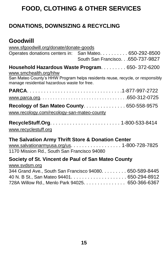# <span id="page-18-0"></span>**FOOD, CLOTHING & OTHER SERVICES**

### **DONATIONS, DOWNSIZING & RECYCLING**

### **Goodwill**

| www.sfgoodwill.org/donate/donate-goods                                                         |                                                                                            |  |
|------------------------------------------------------------------------------------------------|--------------------------------------------------------------------------------------------|--|
|                                                                                                | Operates donations centers in: San Mateo. 650-292-8500<br>South San Francisco.650-737-9827 |  |
| www.smchealth.org/hhw                                                                          | Household Hazardous Waste Program 650-372-6200                                             |  |
| manage residential hazardous waste for free.                                                   | San Mateo County's HHW Program helps residents reuse, recycle, or responsibly              |  |
|                                                                                                |                                                                                            |  |
|                                                                                                |                                                                                            |  |
| <b>Recology of San Mateo County 650-558-9575</b><br>www.recology.com/recology-san-mateo-county |                                                                                            |  |
| www.recyclestuff.org                                                                           |                                                                                            |  |

### **The Salvation Army Thrift Store & Donation Center**

[www.salvationarmyusa.org/us](http://www.salvationarmyusa.org/us). . . . . . . . . . . . . . . . . . 1-800-728-7825 1170 Mission Rd., South San Francisco 94080

#### **Society of St. Vincent de Paul of San Mateo County**

| www.svdsm.org                                           |  |
|---------------------------------------------------------|--|
| 344 Grand Ave., South San Francisco 94080. 650-589-8445 |  |
|                                                         |  |
| 728A Willow Rd., Menlo Park 94025. 650-366-6367         |  |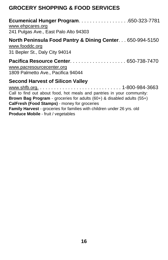### **GROCERY SHOPPING & FOOD SERVICES**

| Ecumenical Hunger Program650-323-7781<br>www.ehpcares.org<br>241 Pulgas Ave., East Palo Alto 94303                                                                                                                                                     |
|--------------------------------------------------------------------------------------------------------------------------------------------------------------------------------------------------------------------------------------------------------|
| North Peninsula Food Pantry & Dining Center 650-994-5150<br>www.fooddc.org<br>31 Bepler St., Daly City 94014                                                                                                                                           |
| www.pacresourcecenter.org<br>1809 Palmetto Ave., Pacifica 94044                                                                                                                                                                                        |
| <b>Second Harvest of Silicon Valley</b><br>Call to find out about food, hot meals and pantries in your community:<br><b>Brown Bag Program</b> - groceries for adults $(60+)$ & disabled adults $(55+)$<br>CalFresh (Food Stamps) - money for groceries |

**Family Harvest** - groceries for families with children under 26 yrs. old **Produce Mobile** - fruit / vegetables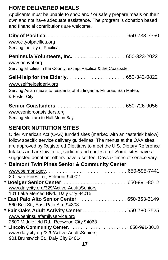### **HOME DELIVERED MEALS**

Applicants must be unable to shop and / or safely prepare meals on their own and not have adequate assistance. The program is donation based and financial contributions are welcome.

| www.cityofpacifica.org<br>Serving the city of Pacifica.                                                                               |
|---------------------------------------------------------------------------------------------------------------------------------------|
| <b>Peninsula Volunteers, Inc</b> 650-323-2022<br>www.penvol.org<br>Serving all cities in the County, except Pacifica & the Coastside. |
| www.selfhelpelderly.org<br>Serving Asian meals to residents of Burlingame, Millbrae, San Mateo,<br>& Foster City.                     |
| www.seniorcoastsiders.org<br>Serving Montara to Half Moon Bay.                                                                        |

### **SENIOR NUTRITION SITES**

Older American Act (OAA) funded sites (marked with an \*asterisk below) follow specific service delivery guidelines. The menus at the OAA sites are approved by Registered Dietitians to meet the U.S. Dietary Reference Intakes and are low in fat, sodium, and cholesterol. Some sites have a suggested donation; others have a set fee. Days & times of service vary.

| * Belmont Twin Pines Senior & Community Center  |  |
|-------------------------------------------------|--|
|                                                 |  |
| 20 Twin Pines Ln., Belmont 94002                |  |
|                                                 |  |
| www.dalycity.org/329/Active-AdultsSeniors       |  |
| 101 Lake Merced Blvd., Daly City 94015          |  |
| * East Palo Alto Senior Center. 650-853-3149    |  |
| 560 Bell St., East Palo Alto 94303              |  |
| * Fair Oaks Adult Activity Center. 650-780-7525 |  |
| www.peninsulafamilyservice.org                  |  |
| 2600 Middlefield Rd., Redwood City 94063        |  |
|                                                 |  |
| www.dalycity.org/329/Active-AdultsSeniors       |  |
| 901 Brunswick St., Daly City 94014              |  |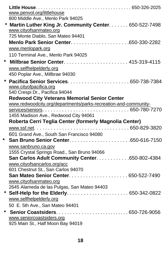| www.penvol.org/littlehouse<br>800 Middle Ave., Menlo Park 94025<br>* Martin Luther King Jr. Community Center. 650-522-7498<br>www.cityofsanmateo.org<br>725 Monte Diablo, San Mateo 94401<br>www.menlopark.org<br>110 Terminal Ave., Menlo Park 94025<br>www.selfhelpelderly.org<br>450 Poplar Ave., Millbrae 94030<br>*<br>www.cityofpacifica.org<br>540 Crespi Dr., Pacifica 94044<br><b>Redwood City Veterans Memorial Senior Center</b><br>www.redwoodcity.org/departments/parks-recreation-and-community-<br>1455 Madison Ave., Redwood City 94061<br>Roberta Cerri Teglia Center (formerly Magnolia Center)<br>601 Grand Ave., South San Francisco 94080<br>$\star$<br>www.sanbruno.ca.gov<br>1555 Crystal Springs Road., San Bruno 94066<br>www.cityofsancarlos.org/acc<br>601 Chestnut St., San Carlos 94070<br>www.cityofsanmateo.org<br>2645 Alameda de las Pulgas, San Mateo 94403<br>www.selfhelpelderly.org |                                                                                    |
|--------------------------------------------------------------------------------------------------------------------------------------------------------------------------------------------------------------------------------------------------------------------------------------------------------------------------------------------------------------------------------------------------------------------------------------------------------------------------------------------------------------------------------------------------------------------------------------------------------------------------------------------------------------------------------------------------------------------------------------------------------------------------------------------------------------------------------------------------------------------------------------------------------------------------|------------------------------------------------------------------------------------|
|                                                                                                                                                                                                                                                                                                                                                                                                                                                                                                                                                                                                                                                                                                                                                                                                                                                                                                                          |                                                                                    |
|                                                                                                                                                                                                                                                                                                                                                                                                                                                                                                                                                                                                                                                                                                                                                                                                                                                                                                                          |                                                                                    |
|                                                                                                                                                                                                                                                                                                                                                                                                                                                                                                                                                                                                                                                                                                                                                                                                                                                                                                                          |                                                                                    |
|                                                                                                                                                                                                                                                                                                                                                                                                                                                                                                                                                                                                                                                                                                                                                                                                                                                                                                                          |                                                                                    |
|                                                                                                                                                                                                                                                                                                                                                                                                                                                                                                                                                                                                                                                                                                                                                                                                                                                                                                                          |                                                                                    |
|                                                                                                                                                                                                                                                                                                                                                                                                                                                                                                                                                                                                                                                                                                                                                                                                                                                                                                                          |                                                                                    |
|                                                                                                                                                                                                                                                                                                                                                                                                                                                                                                                                                                                                                                                                                                                                                                                                                                                                                                                          |                                                                                    |
|                                                                                                                                                                                                                                                                                                                                                                                                                                                                                                                                                                                                                                                                                                                                                                                                                                                                                                                          |                                                                                    |
|                                                                                                                                                                                                                                                                                                                                                                                                                                                                                                                                                                                                                                                                                                                                                                                                                                                                                                                          |                                                                                    |
|                                                                                                                                                                                                                                                                                                                                                                                                                                                                                                                                                                                                                                                                                                                                                                                                                                                                                                                          |                                                                                    |
|                                                                                                                                                                                                                                                                                                                                                                                                                                                                                                                                                                                                                                                                                                                                                                                                                                                                                                                          |                                                                                    |
|                                                                                                                                                                                                                                                                                                                                                                                                                                                                                                                                                                                                                                                                                                                                                                                                                                                                                                                          |                                                                                    |
|                                                                                                                                                                                                                                                                                                                                                                                                                                                                                                                                                                                                                                                                                                                                                                                                                                                                                                                          |                                                                                    |
|                                                                                                                                                                                                                                                                                                                                                                                                                                                                                                                                                                                                                                                                                                                                                                                                                                                                                                                          |                                                                                    |
|                                                                                                                                                                                                                                                                                                                                                                                                                                                                                                                                                                                                                                                                                                                                                                                                                                                                                                                          |                                                                                    |
|                                                                                                                                                                                                                                                                                                                                                                                                                                                                                                                                                                                                                                                                                                                                                                                                                                                                                                                          |                                                                                    |
|                                                                                                                                                                                                                                                                                                                                                                                                                                                                                                                                                                                                                                                                                                                                                                                                                                                                                                                          |                                                                                    |
|                                                                                                                                                                                                                                                                                                                                                                                                                                                                                                                                                                                                                                                                                                                                                                                                                                                                                                                          |                                                                                    |
|                                                                                                                                                                                                                                                                                                                                                                                                                                                                                                                                                                                                                                                                                                                                                                                                                                                                                                                          |                                                                                    |
|                                                                                                                                                                                                                                                                                                                                                                                                                                                                                                                                                                                                                                                                                                                                                                                                                                                                                                                          |                                                                                    |
|                                                                                                                                                                                                                                                                                                                                                                                                                                                                                                                                                                                                                                                                                                                                                                                                                                                                                                                          |                                                                                    |
|                                                                                                                                                                                                                                                                                                                                                                                                                                                                                                                                                                                                                                                                                                                                                                                                                                                                                                                          |                                                                                    |
|                                                                                                                                                                                                                                                                                                                                                                                                                                                                                                                                                                                                                                                                                                                                                                                                                                                                                                                          |                                                                                    |
|                                                                                                                                                                                                                                                                                                                                                                                                                                                                                                                                                                                                                                                                                                                                                                                                                                                                                                                          |                                                                                    |
|                                                                                                                                                                                                                                                                                                                                                                                                                                                                                                                                                                                                                                                                                                                                                                                                                                                                                                                          |                                                                                    |
|                                                                                                                                                                                                                                                                                                                                                                                                                                                                                                                                                                                                                                                                                                                                                                                                                                                                                                                          |                                                                                    |
|                                                                                                                                                                                                                                                                                                                                                                                                                                                                                                                                                                                                                                                                                                                                                                                                                                                                                                                          |                                                                                    |
|                                                                                                                                                                                                                                                                                                                                                                                                                                                                                                                                                                                                                                                                                                                                                                                                                                                                                                                          |                                                                                    |
|                                                                                                                                                                                                                                                                                                                                                                                                                                                                                                                                                                                                                                                                                                                                                                                                                                                                                                                          |                                                                                    |
|                                                                                                                                                                                                                                                                                                                                                                                                                                                                                                                                                                                                                                                                                                                                                                                                                                                                                                                          |                                                                                    |
|                                                                                                                                                                                                                                                                                                                                                                                                                                                                                                                                                                                                                                                                                                                                                                                                                                                                                                                          |                                                                                    |
|                                                                                                                                                                                                                                                                                                                                                                                                                                                                                                                                                                                                                                                                                                                                                                                                                                                                                                                          |                                                                                    |
| www.seniorcoastsiders.org                                                                                                                                                                                                                                                                                                                                                                                                                                                                                                                                                                                                                                                                                                                                                                                                                                                                                                |                                                                                    |
| 925 Main St., Half Moon Bay 94019                                                                                                                                                                                                                                                                                                                                                                                                                                                                                                                                                                                                                                                                                                                                                                                                                                                                                        |                                                                                    |
|                                                                                                                                                                                                                                                                                                                                                                                                                                                                                                                                                                                                                                                                                                                                                                                                                                                                                                                          | San Carlos Adult Community Center. 650-802-4384<br>50 E. 5th Ave., San Mateo 94401 |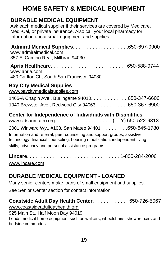# <span id="page-22-0"></span>**HOME SAFETY & MEDICAL EQUIPMENT**

### **DURABLE MEDICAL EQUIPMENT**

 Ask each medical supplier if their services are covered by Medicare, Medi-Cal, or private insurance. Also call your local pharmacy for information about small equipment and supplies.

| <b>Admiral Medical Supplies650-697-0900</b><br>www.admiralmedical.com<br>357 El Camino Real, Millbrae 94030                                                                                                                                                          |
|----------------------------------------------------------------------------------------------------------------------------------------------------------------------------------------------------------------------------------------------------------------------|
| www.apria.com<br>480 Carlton Ct., South San Francisco 94080                                                                                                                                                                                                          |
| <b>Bay City Medical Supplies</b><br>www.baycitymedicalsupplies.com<br>1465-A Chapin Ave., Burlingame 94010. 650-347-6606                                                                                                                                             |
| 1040 Brewster Ave., Redwood City 94063. 650-367-6900                                                                                                                                                                                                                 |
| <b>Center for Independence of Individuals with Disabilities</b>                                                                                                                                                                                                      |
| 2001 Winward Wy., #103, San Mateo 94401. 650-645-1780<br>Information and referral; peer counseling and support groups; assistive<br>technology; financial counseling; housing modification; independent living<br>skills; advocacy and personal assistance programs. |
|                                                                                                                                                                                                                                                                      |

[www.lincare.com](http://www.lincare.com/)

### **DURABLE MEDICAL EQUIPMENT - LOANED**

Many senior centers make loans of small equipment and supplies.

See Senior Center section for contact information.

#### **Coastside Adult Day Health Center**. . . . . . . . . . . . . 650-726-5067

[www.coastsideadultdayhealth.org](http://www.coastsideadultdayhealth.org/)

925 Main St., Half Moon Bay 94019

Lends medical home equipment such as walkers, wheelchairs, showerchairs and bedside commodes.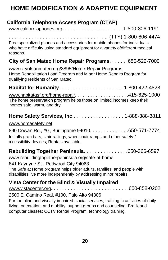# <span id="page-23-0"></span>**HOME MODIFICATION & ADAPTIVE EQUIPMENT**

|                    | California Telephone Access Program (CTAP)                                                                                                                                                                       |  |  |
|--------------------|------------------------------------------------------------------------------------------------------------------------------------------------------------------------------------------------------------------|--|--|
| reasons.           | Free specialized phones and accessories for mobile phones for individuals<br>who have difficulty using standard equipment for a variety ofdifferent medical                                                      |  |  |
|                    | City of San Mateo Home Repair Programs. 650-522-7000                                                                                                                                                             |  |  |
|                    | www.cityofsanmateo.org/3895/Home-Repair-Programs<br>Home Rehabilitation Loan Program and Minor Home Repairs Program for<br>qualifying residents of San Mateo.                                                    |  |  |
|                    |                                                                                                                                                                                                                  |  |  |
|                    | The home preservation program helps those on limited incomes keep their<br>homes safe, warm, and dry.                                                                                                            |  |  |
| www.homesafety.net | Home Safety Services, Inc 1-888-388-3811                                                                                                                                                                         |  |  |
|                    | 890 Cowan Rd., #G, Burlingame 94010. 650-571-7774<br>Installs grab bars, stair railings, wheelchair ramps and other safety /<br>accessibility devices; Rentals available.                                        |  |  |
|                    | Rebuilding Together Peninsula. 650-366-6597<br>www.rebuildingtogetherpeninsula.org/safe-at-home<br>841 Kaynyne St., Redwood City 94063<br>The Safe at Home program helps older adults, families, and people with |  |  |
|                    | disabilities live more independently by addressing minor repairs.<br>Vista Center for the Blind & Visually Impaired                                                                                              |  |  |
|                    |                                                                                                                                                                                                                  |  |  |
|                    | 2500 El Camino Real, #100, Palo Alto 94306<br>والمنافس الأعراب والمترافية والمستحدث والمتعاونة والمستور والمتحاولة والمستحدث والمستحدث والمستحيلة والمستلفات                                                     |  |  |

For the blind and visually impaired: social services, training in activities of daily living, orientation, and mobility; support groups and counseling; Brailleand computer classes; CCTV Rental Program, technology training.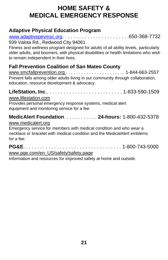# <span id="page-24-0"></span>**HOME SAFETY & MEDICAL EMERGENCY RESPONSE**

### **Adaptive Physical Education Program**

[www.adaptivepevmsc.org](http://www.adaptivepevmsc.org/). . . . . . . . . . . . . . . . . . . . . . . .650-368-7732

939 Valota Rd., Redwood City 94061

Fitness and wellness program designed for adults of all ability levels, particularly older adults, and boomers, with physical disabilities or health limitations who wish to remain independent in their lives.

### **Fall Prevention Coalition of San Mateo County**

www.smcfallprevention.org . . . . . . . . . . . . . . . . . . . . . . . 1-844-663-2557 Prevent falls among older adults living in our community through collaboration, education, resource development & advocacy.

**LifeStation, Inc**.. . . . . . . . . . . . . . . . . . . . . . . . . . . 1-833-590-1509

#### [www.lifestation.com](http://www.lifestation.com/)

Provides personal emergency response systems, medical alert equipment and monitoring service for a fee.

### **MedicAlert Foundation**. . . . . . . . . . . . **24-hours:** 1-800-432-5378

#### [www.medicalert.org](http://www.medicalert.org/)

Emergency service for members with medical condition and who wear a necklace or bracelet with medical condition and the MedicalAlert emblems for a fee.

**PG&E**. . . . . . . . . . . . . . . . . . . . . . . . . . . . . . . . . . . 1-800-743-5000 [www.pge.com/en\\_US/safety/safety.page](http://www.pge.com/en_US/safety/safety.page)

Information and resources for improved safety at home and outside.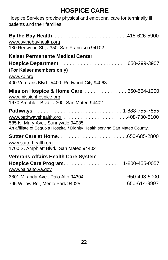# **HOSPICE CARE**

<span id="page-25-0"></span>Hospice Services provide physical and emotional care for terminally ill patients and their families.

| www.bythebayhealth.org<br>180 Redwood St., #350, San Francisco 94102                                              |
|-------------------------------------------------------------------------------------------------------------------|
| Kaiser Permanente Medical Center                                                                                  |
|                                                                                                                   |
| (For Kaiser members only)                                                                                         |
| www.kp.org                                                                                                        |
| 400 Veterans Blvd., #400, Redwood City 94063                                                                      |
| Mission Hospice & Home Care. 650-554-1000<br>www.missionhospice.org<br>1670 Amphlett Blvd., #300, San Mateo 94402 |
| 585 N. Mary Ave., Sunnyvale 94085<br>An affiliate of Sequoia Hospital / Dignity Health serving San Mateo County.  |
|                                                                                                                   |
| www.sutterhealth.org<br>1700 S. Amphlett Blvd., San Mateo 94402                                                   |
| <b>Veterans Affairs Health Care System</b>                                                                        |
| www.paloalto.va.gov                                                                                               |
| 3801 Miranda Ave., Palo Alto 94304. 650-493-5000                                                                  |
| 795 Willow Rd., Menlo Park 94025. 650-614-9997                                                                    |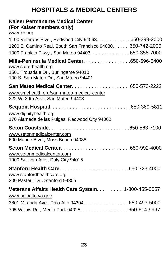# **HOSPITALS & MEDICAL CENTERS**

#### <span id="page-26-0"></span>**Kaiser Permanente Medical Center (For Kaiser members only)**

[www.kp.org](http://www.kp.org/)

| 1100 Veterans Blvd., Redwood City 94063. 650-299-2000                                                                                                 |  |
|-------------------------------------------------------------------------------------------------------------------------------------------------------|--|
| 1200 El Camino Real, South San Francisco 94080. 650-742-2000                                                                                          |  |
| 1000 Franklin Pkwy., San Mateo 94403. 650-358-7000                                                                                                    |  |
| Mills-Peninsula Medical Center. 650-696-5400<br>www.sutterhealth.org<br>1501 Trousdale Dr., Burlingame 94010<br>100 S. San Mateo Dr., San Mateo 94401 |  |
| www.smchealth.org/san-mateo-medical-center<br>222 W. 39th Ave., San Mateo 94403                                                                       |  |
|                                                                                                                                                       |  |
| www.dignityhealth.org<br>170 Alameda de las Pulgas, Redwood City 94062                                                                                |  |
| www.setonmedicalcenter.com<br>600 Marine Blvd., Moss Beach 94038                                                                                      |  |
| www.setonmedicalcenter.com<br>1900 Sullivan Ave., Daly City 94015                                                                                     |  |
| www.stanfordhealthcare.org<br>300 Pasteur Dr., Stanford 94305                                                                                         |  |
| Veterans Affairs Health Care System. 1-800-455-0057<br>www.paloalto.va.gov                                                                            |  |
| 3801 Miranda Ave., Palo Alto 94304. 650-493-5000                                                                                                      |  |
| 795 Willow Rd., Menlo Park 94025. 650-614-9997                                                                                                        |  |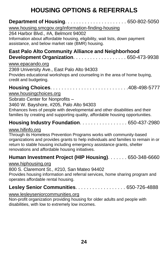# **HOUSING OPTIONS & REFERRALS**

<span id="page-27-0"></span>

| <b>Department of Housing 650-802-5050</b><br>www.housing.smcgov.org/information-finding-housing<br>264 Harbor Blvd., #A, Belmont 94002<br>Information about affordable housing, eligibility, wait lists, down payment<br>assistance, and below market rate (BMR) housing.                                  |
|------------------------------------------------------------------------------------------------------------------------------------------------------------------------------------------------------------------------------------------------------------------------------------------------------------|
| <b>East Palo Alto Community Alliance and Neighborhood</b>                                                                                                                                                                                                                                                  |
| www.epacando.org<br>2369 University Ave., East Palo Alto 94303<br>Provides educational workshops and counseling in the area of home buying,<br>credit and budgeting.                                                                                                                                       |
| www.housingchoices.org<br>Sobrato Center for Nonprofits -<br>3460 W. Bayshore, #205, Palo Alto 94303<br>Enhances lives of people with developmental and other disabilities and their<br>families by creating and supporting quality, affordable housing opportunities.                                     |
| Housing Industry Foundation. 650-437-2980                                                                                                                                                                                                                                                                  |
| www.hifinfo.org<br>Through its Homeless Prevention Programs works with community-based<br>organizations and provides grants to help individuals and families to remain in or<br>return to stable housing including emergency assistance grants, shelter<br>renovations and affordable housing initiatives. |

#### **Human Investment Project (HIP Housing)**. . . . . . . 650-348-6660

[www.hiphousing.org](http://www.hiphousing.org/)

800 S. Claremont St., #210, San Mateo 94402

Provides housing information and referral services, home sharing program and operates affordable rental housing.

### **Lesley Senior Communities**. . . . . . . . . . . . . . . . . . 650-726-4888

#### [www.lesleyseniorcommunities.org](http://www.lesleyseniorcommunities.org/)

Non-profit organization providing housing for older adults and people with disabilities, with low to extremely low incomes.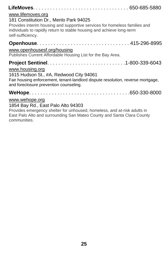| www.lifemoves.org                                                                                                                                                                                                  |
|--------------------------------------------------------------------------------------------------------------------------------------------------------------------------------------------------------------------|
| 181 Constitution Dr., Menlo Park 94025<br>Provides interim housing and supportive services for homeless families and<br>individuals to rapidly return to stable housing and achieve long-term<br>self-sufficiency. |
|                                                                                                                                                                                                                    |
| www.openhousesf.org/housing<br>Publishes Current Affordable Housing List for the Bay Area.                                                                                                                         |
| www.housing.org                                                                                                                                                                                                    |
| 1615 Hudson St., #A, Redwood City 94061<br>Fair housing enforcement, tenant-landlord dispute resolution, reverse mortgage,<br>and foreclosure prevention counseling.                                               |
|                                                                                                                                                                                                                    |
| www.wehope.org                                                                                                                                                                                                     |

### 1854 Bay Rd., East Palo Alto 94303

Provides emergency shelter for unhoused, homeless, and at-risk adults in East Palo Alto and surrounding San Mateo County and Santa Clara County communities.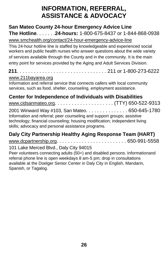# **INFORMATION, REFERRAL, ASSISTANCE & ADVOCACY**

### <span id="page-29-0"></span> **San Mateo County 24-hour Emergency Advice Line The Hotline**. . . . . . .**24-hours:** 1-800-675-8437 or 1-844-868-0938

[www.smchealth.org/contact/24-hour-emergency-advice-line](http://www.smchealth.org/contact/24-hour-emergency-advice-line)

This 24-hour hotline line is staffed by knowledgeable and experienced social workers and public health nurses who answer questions about the wide variety of services available through the County and in the community. It is the main entry point for services provided by the Aging and Adult Services Division.

**211**. . . . . . . . . . . . . . . . . . . . . . . . . . . . . . . . 211 or 1-800-273-6222

#### [www.211bayarea.org](http://www.211bayarea.org/)

Information and referral service that connects callers with local community services, such as food, shelter, counseling, employment assistance.

### **Center for Independence of Individuals with Disabilities**

| 2001 Winward Way #103, San Mateo. 650-645-1780                             |  |
|----------------------------------------------------------------------------|--|
| Information and referral; peer counseling and support groups; assistive    |  |
| technology; financial counseling; housing modification; independent living |  |
| skills; advocacy and personal assistance programs.                         |  |

### **Daly City Partnership Healthy Aging Response Team (HART)**

[www.dcpartnership.org](http://www.dcpartnership.org/). . . . . . . . . . . . . . . . . . . . . . . . . 650-991-5558

#### 101 Lake Merced Blvd., Daly City 94015

Peer volunteers connecting adults (50+) and disabled persons. Informationand referral phone line is open weekdays 8 am-5 pm; drop in consultations available at the Doelger Senior Center in Daly City in English, Mandarin, Spanish, or Tagalog.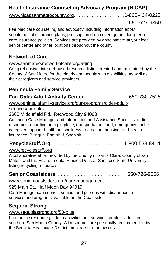### **Health Insurance Counseling Advocacy Program (HICAP)**

| www.hicapsanmateocounty.org1-800-434-0222 |  |
|-------------------------------------------|--|
|                                           |  |

Fee Medicare counseling and advocacy including information about supplemental insurance plans, prescription drug coverage and long-term care insurance policies. Services are provided by appointment at your local senior center and other locations throughout the county.

#### **Network of Care**

#### [www.sanmateo.networkofcare.org/aging](http://www.sanmateo.networkofcare.org/aging)

Comprehensive, internet-based resource listing created and maintained by the County of San Mateo for the elderly and people with disabilities, as well as their caregivers and service providers.

### **Peninsula Family Service**

**Fair Oaks Adult Activity Center**. . . . . . . . . . . . . . . . 650-780-7525 [www.peninsulafamilyservice.org/our-programs/older-adult-](http://www.peninsulafamilyservice.org/our-programs/older-adult-)

#### services/fairoaks

#### 2600 Middlefield Rd., Redwood City 94063

Contact a Case Manager and Information and Assistance Specialist to find resources regarding aging in place, transportation, food, emergency shelter, caregiver support, health and wellness, recreation, housing, and health insurance. Bilingual English & Spanish.

### **RecycleStuff.Org**. . . . . . . . . . . . . . . . . . . . . . . . . . 1-800-533-8414

#### [www.recyclestuff.org](http://www.recyclestuff.org/)

A collaborative effort provided by the County of Santa Clara, County ofSan Mateo, and the Environmental Studies Dept. at San Jose State University listing recycling resources.

### **Senior Coastsiders**. . . . . . . . . . . . . . . . . . . . . . . . . 650-726-9056

#### [www.seniorcoastsiders.org/care-management](http://www.seniorcoastsiders.org/care-management)

925 Main St., Half Moon Bay 94019 Care Manager can connect seniors and persons with disabilities to services and programs available on the Coastside.

### **Sequoia Strong**

#### [www.sequoiastrong.org/50-plus](http://www.sequoiastrong.org/50-plus)

Free online resource guide to activities and services for older adults in southern San Mateo County. All resources are personally recommended by the Sequoia Healthcare District, most are free or low cost.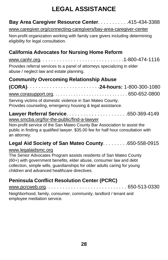# **LEGAL ASSISTANCE**

### <span id="page-31-0"></span>**Bay Area Caregiver Resource Center**. . . . . . . . . . .415-434-3388

[www.caregiver.org/connecting-caregivers/bay-area-caregiver-center](http://www.caregiver.org/connecting-caregivers/bay-area-caregiver-center)

Non-profit organization working with family care givers including determining eligibility for legal consultation.

### **California Advocates for Nursing Home Reform**

[www.canhr.org](http://www.canhr.org/). . . . . . . . . . . . . . . . . . . . . . . . . . . . . .1-800-474-1116 Provides referral services to a panel of attorneys specializing in elder abuse / neglect law and estate planning.

### **Community Overcoming Relationship Abuse**

**(CORA)**. . . . . . . . . . . . . . . . . . . . . . . . . .**24-hours:** 1-800-300-1080 [www.corasupport.org.](http://www.corasupport.org/) . . . . . . . . . . . . . . . . . . . . . . . . . . . . 650-652-0800 Serving victims of domestic violence in San Mateo County. Provides counseling, emergency housing & legal assistance.

**Lawyer Referral Service**. . . . . . . . . . . . . . . . . . . . . .650-369-4149 [www.smcba.org/for-the-public/find-a-lawyer](http://www.smcba.org/for-the-public/find-a-lawyer)

Non-profit service of the San Mateo County Bar Association to assist the public in finding a qualified lawyer. \$35.00 fee for half hour consultation with an attorney.

### **Legal Aid Society of San Mateo County**. . . . . . . . .650-558-0915

#### [www.legalaidsmc.org](http://www.legalaidsmc.org/)

The Senior Advocates Program assists residents of San Mateo County (60+) with government benefits, elder abuse, consumer law and debt collection, simple wills, guardianships for older adults caring for young children and advanced healthcare directives.

### **Peninsula Conflict Resolution Center (PCRC)**

[www.pcrcweb.org](http://www.pcrcweb.org/). . . . . . . . . . . . . . . . . . . . . . . . . . . . . 650-513-0330 Neighborhood, family, consumer, community, landlord / tenant and employee mediation service.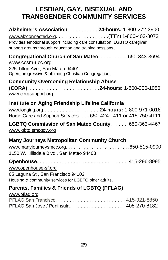# <span id="page-32-0"></span>**LESBIAN, GAY, BISEXUAL AND TRANSGENDER COMMUNITY SERVICES**

| Alzheimer's Association. 24-hours: 1-800-272-3900<br>Provides emotional support including care consultation, LGBTQ caregiver<br>support groups through education and training sessions. |  |
|-----------------------------------------------------------------------------------------------------------------------------------------------------------------------------------------|--|
| Congregational Church of San Mateo. 650-343-3694<br>www.ccsm-ucc.org<br>225 Tilton Ave., San Mateo 94401                                                                                |  |
| Open, progressive & affirming Christian Congregation.<br><b>Community Overcoming Relationship Abuse</b>                                                                                 |  |
| www.corasupport.org                                                                                                                                                                     |  |
| Institute on Aging Friendship Lifeline California<br>www.ioaging.org 24-hours: 1-800-971-0016<br>Home Care and Support Services. 650-424-1411 or 415-750-4111                           |  |
| LGBTQ Commission of San Mateo County650-363-4467<br>www.lgbtg.smcgov.org                                                                                                                |  |
| <b>Many Journeys Metropolitan Community Church</b>                                                                                                                                      |  |
| 1150 W. Hillsdale Blvd., San Mateo 94403                                                                                                                                                |  |
| www.openhouse-sf.org<br>65 Laguna St., San Francisco 94102<br>Housing & community services for LGBTQ older adults.                                                                      |  |
| <b>Parents, Families &amp; Friends of LGBTQ (PFLAG)</b>                                                                                                                                 |  |
| www.pflag.org                                                                                                                                                                           |  |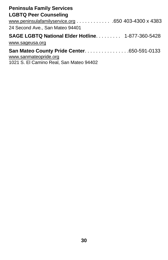| <b>Peninsula Family Services</b>                        |
|---------------------------------------------------------|
| <b>LGBTQ Peer Counseling</b>                            |
| www.peninsulafamilyservice.org 650 403-4300 x 4383      |
| 24 Second Ave., San Mateo 94401                         |
| <b>SAGE LGBTQ National Elder Hotline 1-877-360-5428</b> |
| www.sageusa.org                                         |
| <b>San Mateo County Pride Center650-591-0133</b>        |
| www.sanmateopride.org                                   |
| 1021 S. El Camino Real, San Mateo 94402                 |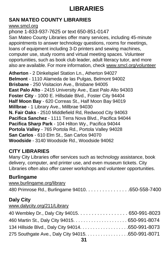# **LIBRARIES**

### <span id="page-34-0"></span>**SAN MATEO COUNTY LIBRARIES**

[www.smcl.org](http://www.smcl.org/)

phone 1-833-937-7625 or text 650-851-0147 San Mateo County Libraries offer many services, including 45-minute appointments to answer technology questions, rooms for meetings, loans of equipment including 3-D printers and sewing machines, computer use, study rooms and virtual meeting spaces. Volunteer opportunities, such as book club leader, adult literacy tutor, and more also are available. For more information, check [www.smcl.org/volunteer](http://www.smcl.org/volunteer)

**Atherton** - 2 Dinkelspiel Station Ln., Atherton 94027 **Belmont** - 1110 Alameda de las Pulgas, Belmont 94002 **Brisbane** - 250 Visitacion Ave., Brisbane 94005 **East Palo Alto** - 2415 University Ave., East Palo Alto 94303 **Foster City** - 1000 E. Hillsdale Blvd., Foster City 94404 **Half Moon Bay** - 620 Correas St., Half Moon Bay 94019 **Millbrae** - 1 Library Ave., Millbrae 94030 **N. Fair Oaks** - 2510 Middlefield Rd, Redwood City 94063 **Pacifica Sanchez** - 1111 Terra Nova Blvd., Pacifica 94044 **Pacifica Sharp Park** - 104 Hilton Wy., Pacifica 94044 **Portola Valley** - 765 Portola Rd., Portola Valley 94028 **San Carlos** - 610 Elm St., San Carlos 94070 **Woodside** - 3140 Woodside Rd., Woodside 94062

### **CITY LIBRARIES**

Many City Libraries offer services such as technology assistance, book delivery, computer, and printer use, and even museum tickets. City Libraries often also offer career workshops and volunteer opportunities.

### **Burlingame**

| www.burlingame.org/library                       |  |
|--------------------------------------------------|--|
| 480 Primrose Rd., Burlingame 94010. 650-558-7400 |  |

### **Daly City**

| www.dalycity.org/211/Library |  |  |  |
|------------------------------|--|--|--|
|                              |  |  |  |

| 40 Wembley Dr., Daly City 94015. 650-991-8023     |
|---------------------------------------------------|
|                                                   |
|                                                   |
| 275 Southgate Ave., Daly City 94015. 650-991-8071 |
|                                                   |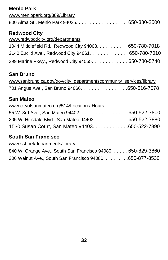### **Menlo Park**

| www.menlopark.org/389/Library                |  |
|----------------------------------------------|--|
| 800 Alma St., Menlo Park 94025. 650-330-2500 |  |

#### **Redwood City**

| www.redwoodcity.org/departments                        |  |
|--------------------------------------------------------|--|
| 1044 Middlefield Rd., Redwood City 94063. 650-780-7018 |  |
| 2140 Euclid Ave., Redwood City 94061. 650-780-7010     |  |
| 399 Marine Pkwy., Redwood City 94065. 650-780-5740     |  |

#### **San Bruno**

| www.sanbruno.ca.gov/gov/city_departmentscommunity_services/library |  |
|--------------------------------------------------------------------|--|
| 701 Angus Ave., San Bruno 94066. 650-616-7078                      |  |

#### **San Mateo**

#### [www.cityofsanmateo.org/514/Locations-Hours](http://www.cityofsanmateo.org/514/Locations-Hours)

| 55 W. 3rd Ave., San Mateo 94402. 650-522-7800         |  |
|-------------------------------------------------------|--|
| 205 W. Hillsdale Blvd., San Mateo 94403. 650-522-7880 |  |
| 1530 Susan Court, San Mateo 94403. 650-522-7890       |  |

### **South San Francisco**

[www.ssf.net/departments/library](http://www.ssf.net/departments/library)

```
840 W. Orange Ave., South San Francisco 94080. . . . . . 650-829-3860
306 Walnut Ave., South San Francisco 94080. . . . . . . . . .650-877-8530
```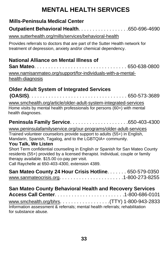# **MENTAL HEALTH SERVICES**

### <span id="page-36-0"></span>**Mills-Peninsula Medical Center**

**Outpatient Behavioral Health**. . . . . . . . . . . . . . . . . .650-696-4690

[www.sutterhealth.org/mills/services/behavioral-health](http://www.sutterhealth.org/mills/services/behavioral-health/)

Provides referrals to doctors that are part of the Sutter Health network for treatment of depression, anxiety and/or chemical dependency.

### **National Alliance on Mental Illness of**

**San Mateo**. . . . . . . . . . . . . . . . . . . . . . . . . . . . . . . . . 650-638-0800 [www.namisanmateo.org/support/for-individuals-with-a-mental](http://www.namisanmateo.org/support/for-individuals-with-a-mental-)health-diagnosis

#### **Older Adult System of Integrated Services (OASIS)**. . . . . . . . . . . . . . . . . . . . . . . . . . . . . . . . . . . 650-573-3689

[www.smchealth.org/article/older-adult-system-integrated-services](http://www.smchealth.org/article/older-adult-system-integrated-services)

 Home visits by mental health professionals for persons (60+) with mental health diagnoses.

**Peninsula Family Service**. . . . . . . . . . . . . . . . . . . . .650-403-4300

[www.peninsulafamilyservice.org/our-programs/older-adult-services](http://www.peninsulafamilyservice.org/our-programs/older-adult-services) Trained volunteer counselors provide support to adults (55+) in English, Mandarin, Spanish, Tagalog, and to the LGBTQIA+ community.

#### **You Talk, We Listen**

Short Term confidential counseling in English or Spanish for San Mateo County residents (55+) provided by a licensed therapist. Individual, couple or family therapy available. \$15.00 co-pay per visit. Call Raychelle at 650-403-4300, extension 4389.

| San Mateo County 24 Hour Crisis Hotline. 650-579-0350 |  |
|-------------------------------------------------------|--|
|                                                       |  |

| <b>San Mateo County Behavioral Health and Recovery Services</b>             |  |  |
|-----------------------------------------------------------------------------|--|--|
|                                                                             |  |  |
|                                                                             |  |  |
| Information assessment & referrals; mental health referrals; rehabilitation |  |  |
| for substance abuse.                                                        |  |  |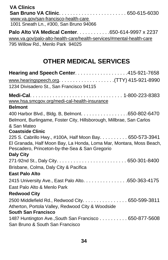<span id="page-37-0"></span>

| <b>VA Clinics</b><br>www.va.gov/san-francisco-health-care                                                                                                                         |  |
|-----------------------------------------------------------------------------------------------------------------------------------------------------------------------------------|--|
| 1001 Sneath Ln., #300, San Bruno 94066                                                                                                                                            |  |
| Palo Alto VA Medical Center. 650-614-9997 x 2237                                                                                                                                  |  |
| www.va.gov/palo-alto-health-care/health-services/#mental-health-care<br>795 Willow Rd., Menlo Park 94025                                                                          |  |
| <b>OTHER MEDICAL SERVICES</b>                                                                                                                                                     |  |
| Hearing and Speech Center. 415-921-7658                                                                                                                                           |  |
|                                                                                                                                                                                   |  |
| 1234 Divisadero St., San Francisco 94115                                                                                                                                          |  |
|                                                                                                                                                                                   |  |
| www.hsa.smcgov.org/medi-cal-health-insurance                                                                                                                                      |  |
| <b>Belmont</b>                                                                                                                                                                    |  |
| 400 Harbor Blvd., Bldg. B, Belmont. 650-802-6470                                                                                                                                  |  |
| Belmont, Burlingame, Foster City, Hillsborough, Millbrae, San Carlos                                                                                                              |  |
| & San Mateo                                                                                                                                                                       |  |
| <b>Coastside Clinic</b>                                                                                                                                                           |  |
| 225 S. Cabrillo Hwy., #100A, Half Moon Bay. 650-573-3941<br>El Granada, Half Moon Bay, La Honda, Loma Mar, Montara, Moss Beach,<br>Pescadero, Princeton-by-the-Sea & San Gregorio |  |
| <b>Daly City</b>                                                                                                                                                                  |  |
|                                                                                                                                                                                   |  |
| Brisbane, Colma, Daly City & Pacifica                                                                                                                                             |  |
| <b>East Palo Alto</b>                                                                                                                                                             |  |
| 2415 University Ave., East Palo Alto. 650-363-4175                                                                                                                                |  |
| East Palo Alto & Menlo Park                                                                                                                                                       |  |
| <b>Redwood City</b>                                                                                                                                                               |  |
| 2500 Middlefield Rd., Redwood City. 650-599-3811<br>Atherton, Portola Valley, Redwood City & Woodside                                                                             |  |
| <b>South San Francisco</b>                                                                                                                                                        |  |
| 1487 Huntington Ave., South San Francisco 650-877-5608                                                                                                                            |  |
| San Bruno & South San Francisco                                                                                                                                                   |  |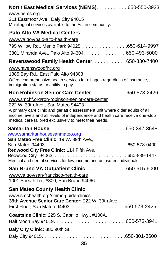|                       | North East Medical Services (NEMS). 650-550-3923                                                                                                                                                                                                                                                               |
|-----------------------|----------------------------------------------------------------------------------------------------------------------------------------------------------------------------------------------------------------------------------------------------------------------------------------------------------------|
| www.nems.org          | 211 Eastmoor Ave., Daly City 94015<br>Multilingual services available to the Asian community.                                                                                                                                                                                                                  |
|                       | <b>Palo Alto VA Medical Centers</b>                                                                                                                                                                                                                                                                            |
|                       | www.va.gov/palo-alto-health-care                                                                                                                                                                                                                                                                               |
|                       | 795 Willow Rd., Menlo Park 94025. 650-614-9997                                                                                                                                                                                                                                                                 |
|                       | 3801 Miranda Ave., Palo Alto 94304. 650-493-5000                                                                                                                                                                                                                                                               |
|                       | Ravenswood Family Health Center 650-330-7400                                                                                                                                                                                                                                                                   |
| www.ravenswoodfhc.org | 1885 Bay Rd., East Palo Alto 94303<br>Offers comprehensive health services for all ages regardless of insurance,<br>immigration status or ability to pay.                                                                                                                                                      |
|                       | <b>Ron Robinson Senior Care Center 650-573-2426</b>                                                                                                                                                                                                                                                            |
|                       | www.smchf.org/ron-robinson-senior-care-center<br>222 W. 39th Ave., San Mateo 94403<br>A primary care clinic and geriatric assessment unit where older adults of all<br>income levels and all levels of independence and health care receive one-stop<br>medical care tailored exclusively to meet their needs. |
|                       | Samaritan House 650-347-3648<br>www.samaritanhousesanmateo.org<br>San Mateo Free Clinic: 19 W. 39th Ave.,<br>Redwood City Free Clinic: 114 Fifth Ave.,                                                                                                                                                         |
|                       | Medical and dental services for low-income and uninsured individuals.                                                                                                                                                                                                                                          |
|                       | San Bruno VA Outpatient Clinic. 650-615-6000<br>www.va.gov/san-francisco-health-care<br>1001 Sneath Ln., #300, San Bruno 94066                                                                                                                                                                                 |
|                       | <b>San Mateo County Health Clinic</b><br>www.smchealth.org/smmc-guide-clinics<br>39th Avenue Senior Care Center: 222 W. 39th Ave.,                                                                                                                                                                             |
|                       | Coastside Clinic: 225 S. Cabrillo Hwy., #100A,                                                                                                                                                                                                                                                                 |
|                       | Daly City Clinic: 380 90th St.,                                                                                                                                                                                                                                                                                |
|                       |                                                                                                                                                                                                                                                                                                                |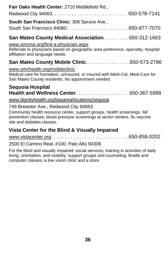| Fair Oaks Health Center: 2710 Middlefield Rd.,                                                                                                                                          |
|-----------------------------------------------------------------------------------------------------------------------------------------------------------------------------------------|
|                                                                                                                                                                                         |
| <b>South San Francisco Clinic: 306 Spruce Ave.,</b>                                                                                                                                     |
|                                                                                                                                                                                         |
| San Mateo County Medical Association. 650-312-1663                                                                                                                                      |
| www.smcma.org/find-a-physician.aspx                                                                                                                                                     |
| Referrals to physicians based on geographic area preference, specialty, hospital<br>affiliation and language needs.                                                                     |
| San Mateo County Mobile Clinic. 650-573-2786                                                                                                                                            |
| www.smchealth.org/mobileclinic                                                                                                                                                          |
| Medical care for homeless, uninsured, or insured with Medi-Cal, Medi-Care for<br>San Mateo County residents. No appointment needed.                                                     |
| Sequoia Hospital                                                                                                                                                                        |
| Health and Wellness Center 650-367-5998                                                                                                                                                 |
| www.dignityhealth.org/bayarea/locations/sequoia                                                                                                                                         |
| 749 Brewster Ave., Redwood City 94063                                                                                                                                                   |
| Community health resource center, support groups, health screenings, fall<br>prevention classes, blood pressure screenings at senior centers, flu vaccine<br>site and diabetes classes. |
| Vista Center for the Blind & Visually Impaired                                                                                                                                          |

#### [www.vistacenter.org](http://www.vistacenter.org/). . . . . . . . . . . . . . . . . . . . . . . . . . . .650-858-0202

#### 2500 El Camino Real, #100, Palo Alto 94306

For the blind and visually impaired: social services; training in activities of daily living, orientation, and mobility; support groups and counseling; Braille and computer classes; a low vision clinic and a store.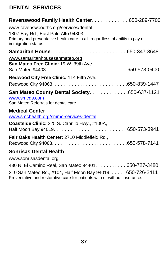### **DENTAL SERVICES**

| Ravenswood Family Health Center. 650-289-7700                                                                                                                                      |
|------------------------------------------------------------------------------------------------------------------------------------------------------------------------------------|
| www.ravenswoodfhc.org/services/dental<br>1807 Bay Rd., East Palo Alto 94303<br>Primary and preventative health care to all, regardless of ability to pay or<br>immigration status. |
|                                                                                                                                                                                    |
| www.samaritanhousesanmateo.org<br>San Mateo Free Clinic: 19 W. 39th Ave.,                                                                                                          |
| Redwood City Free Clinic: 114 Fifth Ave.,                                                                                                                                          |
|                                                                                                                                                                                    |
| San Mateo County Dental Society. 650-637-1121<br>www.smcds.com<br>San Mateo Referrals for dental care.                                                                             |
| <b>Medical Center</b><br>www.smchealth.org/smmc-services-dental                                                                                                                    |
| Coastside Clinic: 225 S. Cabrillo Hwy., #100A,                                                                                                                                     |
| Fair Oaks Health Center: 2710 Middlefield Rd.,                                                                                                                                     |
| <b>Sonrisas Dental Health</b><br>www.sonrisasdental.org                                                                                                                            |
| 430 N. El Camino Real, San Mateo 94401. 650-727-3480                                                                                                                               |

210 San Mateo Rd., #104, Half Moon Bay 94019. . . . . . 650-726-2411 Preventative and restorative care for patients with or without insurance.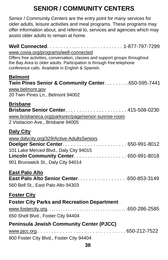# **SENIOR / COMMUNITY CENTERS**

Senior / Community Centers are the entry point for many services for older adults, leisure activities and meal programs. These programs may offer information about, and referral to, services and agencies which may assist older adults to remain at home.

| www.covia.org/programs/well-connected<br>Offers free activities, conversation, classes and support groups throughout<br>the Bay Area to older adults. Participation is through free telephone<br>conference calls. Available in English & Spanish. |
|----------------------------------------------------------------------------------------------------------------------------------------------------------------------------------------------------------------------------------------------------|
| <b>Belmont</b><br>Twin Pines Senior & Community Center. 650-595-7441                                                                                                                                                                               |
| www.belmont.gov<br>20 Twin Pines Ln., Belmont 94002                                                                                                                                                                                                |
| <b>Brisbane</b><br>www.brisbaneca.org/parksrec/page/senior-sunrise-room<br>2 Visitacion Ave., Brisbane 94005                                                                                                                                       |
| <b>Daly City</b>                                                                                                                                                                                                                                   |
| www.dalycity.org/329/Active-AdultsSeniors<br>101 Lake Merced Blvd., Daly City 94015                                                                                                                                                                |
| Lincoln Community Center. 650-991-8018<br>901 Brunswick St., Daly City 94014                                                                                                                                                                       |
| <b>East Palo Alto</b><br>East Palo Alto Senior Center. 650-853-3149<br>560 Bell St., East Palo Alto 94303                                                                                                                                          |
| <b>Foster City</b>                                                                                                                                                                                                                                 |
| <b>Foster City Parks and Recreation Department</b>                                                                                                                                                                                                 |
| 650 Shell Blvd., Foster City 94404                                                                                                                                                                                                                 |
| <b>Peninsula Jewish Community Center (PJCC)</b>                                                                                                                                                                                                    |
| 800 Foster City Blvd., Foster City 94404                                                                                                                                                                                                           |
|                                                                                                                                                                                                                                                    |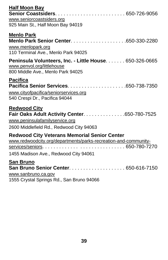| <b>Half Moon Bay</b>                                                                                                       |
|----------------------------------------------------------------------------------------------------------------------------|
|                                                                                                                            |
| www.seniorcoastsiders.org                                                                                                  |
| 925 Main St., Half Moon Bay 94019                                                                                          |
| <b>Menlo Park</b>                                                                                                          |
|                                                                                                                            |
| www.menlopark.org                                                                                                          |
| 110 Terminal Ave., Menlo Park 94025                                                                                        |
| Peninsula Volunteers, Inc. - Little House. 650-326-0665<br>www.penvol.org/littlehouse<br>800 Middle Ave., Menlo Park 94025 |
| <b>Pacifica</b>                                                                                                            |
|                                                                                                                            |
| www.cityofpacifica/seniorservices.org                                                                                      |
| 540 Crespi Dr., Pacifica 94044                                                                                             |
| <b>Redwood City</b>                                                                                                        |
| Fair Oaks Adult Activity Center. 650-780-7525                                                                              |
| www.peninsulafamilyservice.org                                                                                             |
| 2600 Middlefield Rd., Redwood City 94063                                                                                   |
| <b>Redwood City Veterans Memorial Senior Center</b><br>www.redwoodcity.org/departments/parks-recreation-and-community-     |
| 1455 Madison Ave., Redwood City 94061                                                                                      |
| <b>San Bruno</b>                                                                                                           |
| San Bruno Senior Center. 650-616-7150                                                                                      |
| www.sanbruno.ca.gov                                                                                                        |
| 1555 Crystal Springs Rd., San Bruno 94066                                                                                  |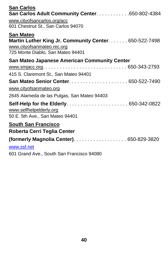| <b>San Carlos</b><br>San Carlos Adult Community Center. 650-802-4384                                                                         |
|----------------------------------------------------------------------------------------------------------------------------------------------|
| www.cityofsancarlos.org/acc<br>601 Chestnut St., San Carlos 94070                                                                            |
| <b>San Mateo</b><br>Martin Luther King Jr. Community Center. 650-522-7498<br>www.cityofsanmateo.rec.org<br>725 Monte Diablo, San Mateo 94401 |
| <b>San Mateo Japanese American Community Center</b>                                                                                          |
|                                                                                                                                              |
| 415 S. Claremont St., San Mateo 94401                                                                                                        |
| www.cityofsanmateo.org                                                                                                                       |
| 2645 Alameda de las Pulgas, San Mateo 94403                                                                                                  |
| www.selfhelpelderly.org<br>50 E. 5th Ave., San Mateo 94401                                                                                   |
| <b>South San Francisco</b>                                                                                                                   |
| Roberta Cerri Teglia Center                                                                                                                  |
| (formerly Magnolia Center). 650-829-3820                                                                                                     |
| www.ssf.net<br>601 Grand Ave., South San Francisco 94080                                                                                     |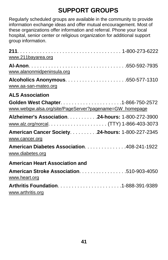# **SUPPORT GROUPS**

<span id="page-44-0"></span>Regularly scheduled groups are available in the community to provide information exchange ideas and offer mutual encouragement. Most of these organizations offer information and referral. Phone your local hospital, senior center or religious organization for additional support group information.

| www.211bayarea.org                                                  |  |
|---------------------------------------------------------------------|--|
| www.alanonmidpeninsula.org                                          |  |
| www.aa-san-mateo.org                                                |  |
| <b>ALS Association</b>                                              |  |
| www.webgw.alsa.org/site/PageServer?pagename=GW_homepage             |  |
| Alzheimer's Association. 24-hours: 1-800-272-3900                   |  |
|                                                                     |  |
| American Cancer Society. 24-hours: 1-800-227-2345<br>www.cancer.org |  |
| American Diabetes Association. 408-241-1922<br>www.diabetes.org     |  |
| <b>American Heart Association and</b>                               |  |
| American Stroke Association. 510-903-4050<br>www.heart.org          |  |
| www.arthritis.org                                                   |  |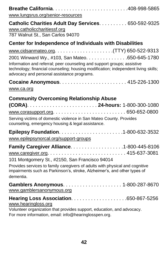| www.lungsrus.org/senior-resources                                                                                                                                                                                                                                    |
|----------------------------------------------------------------------------------------------------------------------------------------------------------------------------------------------------------------------------------------------------------------------|
| Catholic Charities Adult Day Services. 650-592-9325<br>www.catholiccharitiessf.org<br>787 Walnut St., San Carlos 94070                                                                                                                                               |
| <b>Center for Independence of Individuals with Disabilities</b>                                                                                                                                                                                                      |
|                                                                                                                                                                                                                                                                      |
| 2001 Winward Wy., #103, San Mateo. 650-645-1780<br>Information and referral; peer counseling and support groups; assistive<br>technology; financial counseling; housing modification; independent living skills;<br>advocacy and personal assistance programs.       |
|                                                                                                                                                                                                                                                                      |
| www.ca.org                                                                                                                                                                                                                                                           |
| <b>Community Overcoming Relationship Abuse</b><br>Serving victims of domestic violence in San Mateo County. Provides<br>counseling, emergency housing & legal assistance.                                                                                            |
| www.epilepsynorcal.org/support-groups                                                                                                                                                                                                                                |
| Family Caregiver Alliance. 1-800-445-8106<br>101 Montgomery St., #2150, San Francisco 94014<br>Provides services to family caregivers of adults with physical and cognitive<br>impairments such as Parkinson's, stroke, Alzheimer's, and other types of<br>dementia. |
| www.gamblersanonymous.org                                                                                                                                                                                                                                            |
| www.hearingloss.org<br>Volunteer organization that provides support, education, and advocacy.<br>For more information, email: info@hearinglosspen.org.                                                                                                               |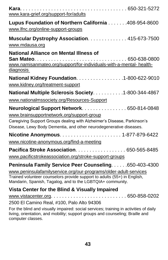| www.kara-grief.org/support-for/adults                                                                                                                                                                      |
|------------------------------------------------------------------------------------------------------------------------------------------------------------------------------------------------------------|
| Lupus Foundation of Northern California 408-954-8600<br>www.lfnc.org/online-support-groups                                                                                                                 |
| Muscular Dystrophy Association. 415-673-7500                                                                                                                                                               |
| www.mdausa.org                                                                                                                                                                                             |
| <b>National Alliance on Mental Illness of</b><br>www.namisanmateo.org/support/for-individuals-with-a-mental- health-<br>diagnosis                                                                          |
| National Kidney Foundation. 1-800-622-9010<br>www.kidney.org/treatment-support                                                                                                                             |
| National Multiple Sclerosis Society. 1-800-344-4867                                                                                                                                                        |
| www.nationalmssociety.org/Resources-Support                                                                                                                                                                |
| Neurological Support Network. 650-814-0848<br>www.brainsupportnetwork.org/support-group<br>Caregiving Support Groups dealing with Alzheimer's Disease, Parkinson's                                         |
| Disease, Lewy Body Dementia, and other neurodegenerative diseases.                                                                                                                                         |
| www.nicotine-anonymous.org/find-a-meeting                                                                                                                                                                  |
| Pacifica Stroke Association. 650-565-8485<br>www.pacificstrokeassociation.org/stroke-support-groups                                                                                                        |
| Peninsula Family Service Peer Counseling. 650-403-4300                                                                                                                                                     |
| www.peninsulafamilyservice.org/our-programs/older-adult-services<br>Trained volunteer counselors provide support to adults (55+) in English,<br>Mandarin, Spanish, Tagalog, and to the LGBTQIA+ community. |
| Vista Center for the Blind & Visually Impaired                                                                                                                                                             |
| 2500 El Camino Real, #100, Palo Alto 94306                                                                                                                                                                 |
| For the blind and visually impaired: social services; training in activities of daily<br>living, orientation, and mobility; support groups and counseling; Braille and<br>computer classes.                |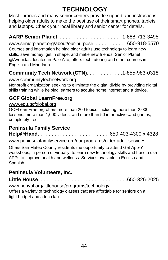# **TECHNOLOGY**

<span id="page-47-0"></span>Most libraries and many senior centers provide support and instructions helping older adults to make the best use of their smart phones, tablets, and laptops. Check your local library and senior center for details.

**AARP Senior Planet**. . . . . . . . . . . . . . . . . . . . . . . 1-888-713-3495 [www.seniorplanet.org/about/our-purpose](http://www.seniorplanet.org/about/our-purpose). . . . . . . . . . . 650-918-5570 Courses and information helping older adults use technology to learn new skills, save money, get in shape, and make new friends. Senior Planet @Avenidas, located in Palo Alto, offers tech tutoring and other courses in English and Mandarin.

### **Community Tech Network (CTN)**. . . . . . . . . . . . .1-855-983-0318

[www.communitytechnetwork.org](http://www.communitytechnetwork.org/)

Nonprofit organization seeking to eliminate the digital divide by providing digital skills training while helping learners to acquire home internet and a device.

### **GCF Global LearnFree.org**

#### [www.edu.gcfglobal.org](http://www.edu.gcfglobal.org/)

GCFLearnFree.org offers more than 200 topics, including more than 2,000 lessons, more than 1,000 videos, and more than 50 inter actives and games, completely free.

#### **Peninsula Family Service Help@Hand**. . . . . . . . . . . . . . . . . . . . . . . . . .650 403-4300 x 4328

[www.peninsulafamilyservice.org/our-programs/older-adult-services](http://www.peninsulafamilyservice.org/our-programs/older-adult-services)

Offers San Mateo County residents the opportunity to attend Get App-Y workshops, in person or virtually, to learn new technology skills and how to use APPs to improve health and wellness. Services available in English and Spanish.

### **Peninsula Volunteers, Inc.**

**Little House**. . . . . . . . . . . . . . . . . . . . . . . . . . . . . . . .650-326-2025

[www.penvol.org/littlehouse/programs/technology](http://www.penvol.org/littlehouse/programs/technology)

Offers a variety of technology classes that are affordable for seniors on a tight budget and a tech lab.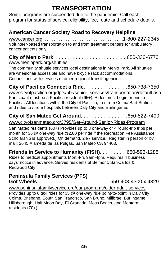# **TRANSPORTATION**

<span id="page-48-0"></span> Some programs are suspended due to the pandemic. Call each program for status of service, eligibility, fee, route and schedule details.

### **American Cancer Society Road to Recovery Helpline**

[www.cancer.org](http://www.cancer.org/). . . . . . . . . . . . . . . . . . . . . . . . . . . . . . . . . . .1-800-227-2345 Volunteer-based transportation to and from treatment centers for ambulatory cancer patients only.

#### **City of Menlo Park**. . . . . . . . . . . . . . . . . . . . . . . . . . 650-330-6770 [www.menlopark.org/shuttles](http://www.menlopark.org/shuttles)

The community shuttle services local destinations in Menlo Park. All shuttles are wheelchair accessible and have bicycle rack accommodations. Connections with services of other regional transit agencies.

**City of Pacifica Connect a Ride**. . . . . . . . . . . . . . . .650-738-7350 [www.cityofpacifica.org/dpts/pbr/senior\\_services/transportation/default.asp](http://www.cityofpacifica.org/dpts/pbr/senior_services/transportation/default.asp) Participant must be a Pacifica resident (65+). Rides must begin or end in Pacifica. All locations within the City of Pacifica, to / from Colma Bart Station and rides to / from hospitals between Daly City and Burlingame.

#### **City of San Mateo Get Around**. . . . . . . . . . . . . . . . .650-522-7490 [www.cityofsanmateo.org/3795/Get-Around-Senior-Rides-Program](http://www.cityofsanmateo.org/3795/Get-Around-Senior-Rides-Program)

San Mateo residents (60+) Provides up to 8 one-way or 4 round-trip trips per month for \$5 @ one-way ride (\$2.00 per ride if the Recreation Fee Assistance Scholarship is approved.) On demand, 24/7 service. Register in person or by mail: 2645 Alameda de las Pulgas, San Mateo CA 94403.

**Friends in Service to Humanity (FISH)**. . . . . . . . . .650-593-1288 Rides to medical appointments Mon.-Fri. 9am-4pm. Requires 4 business days' notice in advance. Serves residents of Belmont, San Carlos & Redwood City.

#### **Peninsula Family Services (PFS) Got Wheels**. . . . . . . . . . . . . . . . . . . . . . . . . . 650-403-4300 x 4329

[www.peninsulafamilyservice.org/our-programs/older-adult-s](http://www.peninsulafamilyservice.org/our-programs/older-adult-)ervices Provides up to 6 taxi rides for \$5 @ one-way ride point-to-point in Daly City, Colma, Brisbane, South San Francisco, San Bruno, Millbrae, Burlingame, Hillsborough, Half Moon Bay, El Granada, Moss Beach, and Montara residents (70+).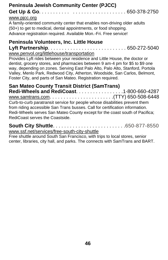#### **Peninsula Jewish Community Center (PJCC) Get Up & Go**. . . . . . . . . . . . . . . . . . . . . . . . . . . . . . 650-378-2750

#### [www.pjcc.org](http://www.pjcc.org/)

A family-oriented community center that enables non-driving older adults (50+) to get to medical, dental appointments, or food shopping. Advance registration required. Available Mon.-Fri. Free service!

#### **Peninsula Volunteers, Inc. Little House**

**Lyft Partnership**. . . . . . . . . . . . . . . . . . . . . . . . . . . . 650-272-5040 [www.penvol.org/littlehouse/transportation](http://www.penvol.org/littlehouse/transportation/)

Provides Lyft rides between your residence and Little House, the doctor or dentist, grocery stores, and pharmacies between 9 am-4 pm for \$5 to \$9 one way, depending on zones. Serving East Palo Alto, Palo Alto, Stanford, Portola Valley, Menlo Park, Redwood City, Atherton, Woodside, San Carlos, Belmont, Foster City, and parts of San Mateo. Registration required.

### **San Mateo County Transit District (SamTrans)**

**Redi-Wheels and RediCoast**. . . . . . . . . . . . . . . . .1-800-660-4287 [www.samtrans.com](http://www.samtrans.com/). . . . . . . . . . . . . . . . . . . . . . .(TTY) 650-508-6448 Curb-to-curb paratransit service for people whose disabilities prevent them from riding accessible San Trans busses. Call for certification information. Redi-Wheels serves San Mateo County except for the coast south of Pacifica; RediCoast serves the Coastside.

#### **South City Shuttle**. . . . . . . . . . . . . . . . . . . . . . . . . .650-877-8550

[www.ssf.net/services/free-south-city-shuttle](http://www.ssf.net/services/free-south-city-shuttle)

Free shuttle around South San Francisco, with trips to local stores, senior center, libraries, city hall, and parks. The connects with SamTrans and BART.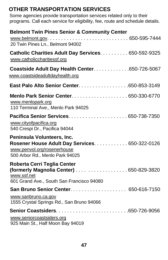### **OTHER TRANSPORTATION SERVICES**

Some agencies provide transportation services related only to their programs. Call each service for eligibility, fee, route and schedule details.

| <b>Belmont Twin Pines Senior &amp; Community Center</b><br>20 Twin Pines Ln., Belmont 94002                                                    |  |
|------------------------------------------------------------------------------------------------------------------------------------------------|--|
| Catholic Charities Adult Day Services. 650-592-9325<br>www.catholiccharitiessf.org                                                             |  |
| Coastside Adult Day Health Center. 650-726-5067<br>www.coastsideadultdayhealth.org                                                             |  |
| East Palo Alto Senior Center650-853-3149                                                                                                       |  |
| www.menlopark.org<br>110 Terminal Ave., Menlo Park 94025                                                                                       |  |
| www.cityofpacifica.org<br>540 Crespi Dr., Pacifica 94044                                                                                       |  |
| Peninsula Volunteers, Inc.<br>Rosener House Adult Day Services. 650-322-0126<br>www.penvol.org/rosenerhouse<br>500 Arbor Rd., Menlo Park 94025 |  |
| Roberta Cerri Teglia Center<br>(formerly Magnolia Center) 650-829-3820<br>www.ssf.net<br>601 Grand Ave., South San Francisco 94080             |  |
|                                                                                                                                                |  |
| www.sanbruno.ca.gov<br>1555 Crystal Springs Rd., San Bruno 94066                                                                               |  |
|                                                                                                                                                |  |
| www.seniorcoastsiders.org<br>925 Main St., Half Moon Bay 94019                                                                                 |  |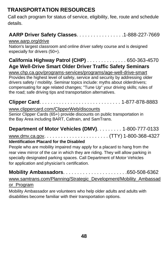# **TRANSPORTATION RESOURCES**

Call each program for status of service, eligibility, fee, route and schedule details.

### **AARP Driver Safety Classes**. . . . . . . . . . . . . . . . .1-888-227-7669

#### [www.aarp.org/drive](http://www.aarp.org/drive)

Nation's largest classroom and online driver safety course and is designed especially for drivers (50+).

#### **California Highway Patrol (CHP)** . . . . . . . . . . . . . . 650-363-4570 **Age Well-Drive Smart Older Driver Traffic Safety Seminars**

[www.chp.ca.gov/programs-services/programs/age-well-drive-smart](http://www.chp.ca.gov/programs-services/programs/age-well-drive-smart) Provides the highest level of safety, service and security by addressing older drivers safety / mobility. Seminar topics include: myths about olderdrivers; compensating for age related changes; "Tune Up" your driving skills; rules of the road; safe driving tips and transportation alternatives.

# **Clipper Card**. . . . . . . . . . . . . . . . . . . . . . . . . . . . . 1-877-878-8883

#### [www.clippercard.com/ClipperWeb/discounts](http://www.clippercard.com/ClipperWeb/discounts.html)

Senior Clipper Cards (65+) provide discounts on public transportation in the Bay Area including BART, Caltrain, and SamTrans.

### **Department of Motor Vehicles (DMV)**. . . . . . . . . 1-800-777-0133

[www.dmv.ca.gov](http://www.dmv.ca.gov/). . . . . . . . . . . . . . . . . . . . . . . (TTY) 1-800-368-4327

#### **Identification Placard for the Disabled**

People who are mobility impaired may apply for a placard to hang from the rear view mirror of the car in which they are riding. They will allow parking in specially designated parking spaces. Call Department of Motor Vehicles for application and physician's certification.

**Mobility Ambassadors**. . . . . . . . . . . . . . . . . . . . . . .650-508-6362

#### [www.samtrans.com/Planning/Strategic\\_Development/Mobility\\_Ambassad](http://www.samtrans.com/Planning/Strategic_Development/Mobility_Ambassador_Program.html) [or\\_Program](http://www.samtrans.com/Planning/Strategic_Development/Mobility_Ambassador_Program.html)

Mobility Ambassador are volunteers who help older adults and adults with disabilities become familiar with their transportation options.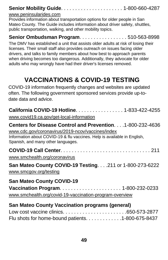### **Senior Mobility Guide**. . . . . . . . . . . . . . . . . . . . . . 1-800-660-4287

#### [www.peninsularides.com](http://www.peninsularides.com/)

Provides information about transportation options for older people in San Mateo County. The Guide includes information about driver safety, shuttles, public transportation, walking, and other mobility topics.

#### **Senior Ombudsman Program**. . . . . . . . . . . . . . . . . 510-563-8998

The DMV has established a unit that assists older adults at risk of losing their licenses. Their small staff also provides outreach on issues facing older drivers, and talks to family members about how best to approach parents when driving becomes too dangerous. Additionally, they advocate for older adults who may wrongly have had their driver's licenses removed.

# **VACCINATIONS & COVID-19 TESTING**

COVID-19 information frequently changes and websites are updated often. The following government sponsored services provide up-todate data and advice.

| California COVID-19 Hotline. 1-833-422-4255<br>www.covid19.ca.gov/get-local-information                                                                                                                                               |
|---------------------------------------------------------------------------------------------------------------------------------------------------------------------------------------------------------------------------------------|
| <b>Centers for Disease Control and Prevention1-800-232-4636</b><br>www.cdc.gov/coronavirus/2019-ncov/vaccines/index<br>Information about COVID-19 & flu vaccines. Help is available in English,<br>Spanish, and many other languages. |
| www.smchealth.org/coronavirus                                                                                                                                                                                                         |
| San Mateo County COVID-19 Testing. 211 or 1-800-273-6222<br>www.smcgov.org/testing                                                                                                                                                    |
| <b>San Mateo County COVID-19</b>                                                                                                                                                                                                      |
| www.smchealth.org/covid-19-vaccination-program-overview                                                                                                                                                                               |

### **San Mateo County Vaccination programs (general)**

| Flu shots for home-bound patients. 1-800-675-8437 |  |
|---------------------------------------------------|--|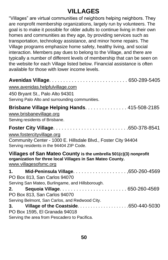# **VILLAGES**

<span id="page-53-0"></span>"Villages" are virtual communities of neighbors helping neighbors. They are nonprofit membership organizations, largely run by volunteers. The goal is to make it possible for older adults to continue living in their own homes and communities as they age, by providing services such as transportation, technology assistance, and minor home repairs. The Village programs emphasize home safety, healthy living, and social interaction. Members pay dues to belong to the Village, and there are typically a number of different levels of membership that can be seen on the website for each Village listed below. Financial assistance is often available for those with lower income levels.

| www.avenidas.helpfulvillage.com                                                                                                                         |  |
|---------------------------------------------------------------------------------------------------------------------------------------------------------|--|
| 450 Bryant St., Palo Alto 94301                                                                                                                         |  |
| Serving Palo Alto and surrounding communities.                                                                                                          |  |
| Brisbane Village Helping Hands. 415-508-2185<br>www.brisbanevillage.org<br>Serving residents of Brisbane.                                               |  |
|                                                                                                                                                         |  |
| www.fostercityvillage.org                                                                                                                               |  |
| Community Center - 1000 E. Hillsdale Blvd., Foster City 94404<br>Serving residents in the 94404 ZIP Code.                                               |  |
| Villages of San Mateo County is the umbrella 501(c)(3) nonprofit<br>organization for three local Villages in San Mateo County.<br>www.villagesofsmc.org |  |
|                                                                                                                                                         |  |
| PO Box 813, San Carlos 94070<br>Serving San Mateo, Burlingame, and Hillsborough.                                                                        |  |
| 2.<br>PO Box 813, San Carlos 94070                                                                                                                      |  |
| Serving Belmont, San Carlos, and Redwood City.                                                                                                          |  |
|                                                                                                                                                         |  |
| PO Box 1595, El Granada 94018<br>Serving the area from Pescadero to Pacifica.                                                                           |  |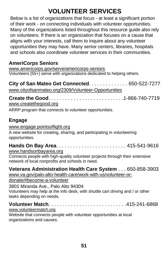# **VOLUNTEER SERVICES**

<span id="page-54-0"></span>Below is a list of organizations that focus - at least a significant portion of their work - on connecting individuals with volunteer opportunities. Many of the organizations listed throughout this resource guide also rely on volunteers. If there is an organization that focuses on a cause that aligns with your interests, call them to inquire about any volunteer opportunities they may have. Many senior centers, libraries, hospitals and schools also coordinate volunteer services in their communities.

### **AmeriCorps Seniors**

[www.americorps.gov/serve/americorps-seniors](http://www.americorps.gov/serve/americorps-seniors) Volunteers (55+) serve with organizations dedicated to helping others.

**City of San Mateo Get Connected**. . . . . . . . . . . . . . 650-522-7277 [www.cityofsanmateo.org/2309/Volunteer-Opportunities](http://www.cityofsanmateo.org/2309/Volunteer-Opportunities)

**Create the Good**. . . . . . . . . . . . . . . . . . . . . . . . . . .1-866-740-7719 [www.createthegood.org](http://www.createthegood.org/)

ARRP program that connects to volunteer opportunities.

### **Engage**

#### [www.engage.pointsoflight.org](http://www.engage.pointsoflight.org/)

A new website for creating, sharing, and participating in volunteering opportunities.

### **Hands On Bay Area**. . . . . . . . . . . . . . . . . . . . . . . . . 415-541-9616

[www.handsonbayarea.org](http://www.handsonbayarea.org/)

Connects people with high-quality volunteer projects through their extensive network of local nonprofits and schools in need.

### **Veterans Administration Health Care System** . . . 650-858-3903

[www.va.gov/palo-alto-health-care/work-with-us/volunteer-or-](http://www.va.gov/palo-alto-health-care/work-with-us/volunteer-or-)

donate/#become-a-volunteer

#### 3801 Miranda Ave., Palo Alto 94304 Volunteers may help at the info desk, with shuttle cart driving and / or other tasks depending on needs.

#### **Volunteer Match**. . . . . . . . . . . . . . . . . . . . . . . . . . . .415-241-6868

#### [www.volunteermatch.org](http://www.volunteermatch.org/)

Website that connects people with volunteer opportunities at local organizations and causes.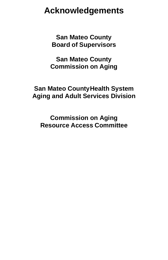# **Acknowledgements**

**San Mateo County Board of Supervisors**

**San Mateo County Commission on Aging**

### **San Mateo CountyHealth System Aging and Adult Services Division**

**Commission on Aging Resource Access Committee**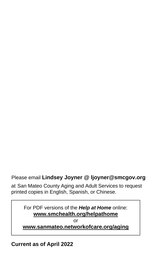### Please email **Lindsey Joyner @ [ljoyner@smcgov.org](mailto:ljoyner@smcgov.org)**

at San Mateo County Aging and Adult Services to request printed copies in English, Spanish, or Chinese.

For PDF versions of the *Help at Home* online: **[www.smchealth.org/helpathome](http://www.smchealth.org/helpathome)**

or

#### **[www.sanmateo.networkofcare.org/aging](http://www.sanmateo.networkofcare.org/aging)**

**Current as of April 2022**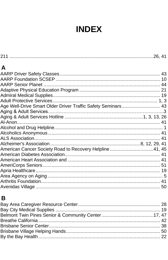# **INDEX**

| A                                                            |  |
|--------------------------------------------------------------|--|
|                                                              |  |
|                                                              |  |
|                                                              |  |
|                                                              |  |
|                                                              |  |
|                                                              |  |
| Age Well-Drive Smart Older Driver Traffic Safety Seminars 43 |  |
| Aging & Adult Services…………………………………………………………………3             |  |
|                                                              |  |
|                                                              |  |
|                                                              |  |
|                                                              |  |
|                                                              |  |
|                                                              |  |
| American Cancer Society Road to Recovery Helpline 41, 45     |  |
|                                                              |  |
|                                                              |  |
|                                                              |  |
|                                                              |  |
|                                                              |  |
|                                                              |  |
|                                                              |  |

### $\mathbf B$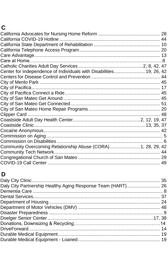# $\mathbf C$

| Center for Independence of Individuals with Disabilities19, 26, 42 |  |
|--------------------------------------------------------------------|--|
|                                                                    |  |
|                                                                    |  |
|                                                                    |  |
|                                                                    |  |
|                                                                    |  |
|                                                                    |  |
|                                                                    |  |
|                                                                    |  |
|                                                                    |  |
|                                                                    |  |
|                                                                    |  |
|                                                                    |  |
|                                                                    |  |
| Community Overcoming Relationship Abuse (CORA)1, 28, 29, 42        |  |
|                                                                    |  |
|                                                                    |  |
|                                                                    |  |
|                                                                    |  |

### D

| Daly City Partnership Healthy Aging Response Team (HART) 26 |  |
|-------------------------------------------------------------|--|
|                                                             |  |
|                                                             |  |
|                                                             |  |
|                                                             |  |
|                                                             |  |
|                                                             |  |
|                                                             |  |
|                                                             |  |
|                                                             |  |
|                                                             |  |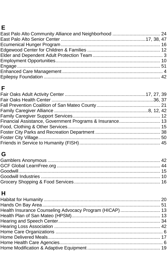# $\mathsf E$

### $\mathsf F$

# G

# $\overline{\mathsf{H}}$

| Health Insurance Counseling Advocacy Program (HICAP)  13 |  |
|----------------------------------------------------------|--|
|                                                          |  |
|                                                          |  |
|                                                          |  |
|                                                          |  |
|                                                          |  |
|                                                          |  |
|                                                          |  |
|                                                          |  |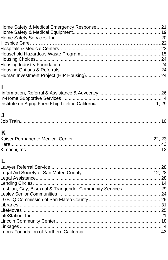# $\overline{\mathbf{I}}$

# $\overline{\mathsf{J}}$

| Job |  |  |
|-----|--|--|
|-----|--|--|

# $\overline{\mathsf{K}}$

# L

| Lesbian, Gay, Bisexual & Trangender Community Services  29 |  |
|------------------------------------------------------------|--|
|                                                            |  |
|                                                            |  |
|                                                            |  |
|                                                            |  |
|                                                            |  |
|                                                            |  |
|                                                            |  |
|                                                            |  |
|                                                            |  |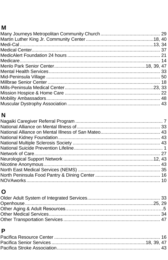### $\mathsf{M}% _{T}=\mathsf{M}_{T}\!\left( a,b\right) ,\ \mathsf{M}_{T}=\mathsf{M}_{T}$

# $\overline{\mathsf{N}}$

# $\mathbf O$

### $\mathsf{P}$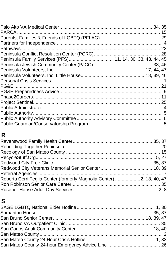| Peninsula Family Services (PFS) 11, 14, 30, 33, 43, 44, 45 |  |
|------------------------------------------------------------|--|
|                                                            |  |
|                                                            |  |
|                                                            |  |
|                                                            |  |
| PG&E                                                       |  |
|                                                            |  |
|                                                            |  |
|                                                            |  |
|                                                            |  |
|                                                            |  |
|                                                            |  |
|                                                            |  |
|                                                            |  |

# $\overline{\mathsf{R}}$

| Roberta Cerri Teglia Center (formerly Magnolia Center) 2, 18, 40, 47 |  |
|----------------------------------------------------------------------|--|
|                                                                      |  |
|                                                                      |  |
|                                                                      |  |

# $\mathbf S$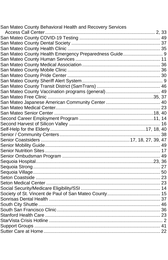| San Mateo County Behavioral Health and Recovery Services |  |
|----------------------------------------------------------|--|
|                                                          |  |
|                                                          |  |
|                                                          |  |
|                                                          |  |
| San Mateo County Health Emergency Preparedness Guide 9   |  |
|                                                          |  |
|                                                          |  |
|                                                          |  |
|                                                          |  |
|                                                          |  |
|                                                          |  |
|                                                          |  |
|                                                          |  |
|                                                          |  |
|                                                          |  |
|                                                          |  |
|                                                          |  |
|                                                          |  |
|                                                          |  |
|                                                          |  |
|                                                          |  |
|                                                          |  |
|                                                          |  |
|                                                          |  |
|                                                          |  |
|                                                          |  |
|                                                          |  |
|                                                          |  |
|                                                          |  |
|                                                          |  |
|                                                          |  |
|                                                          |  |
|                                                          |  |
|                                                          |  |
|                                                          |  |
|                                                          |  |
|                                                          |  |
|                                                          |  |